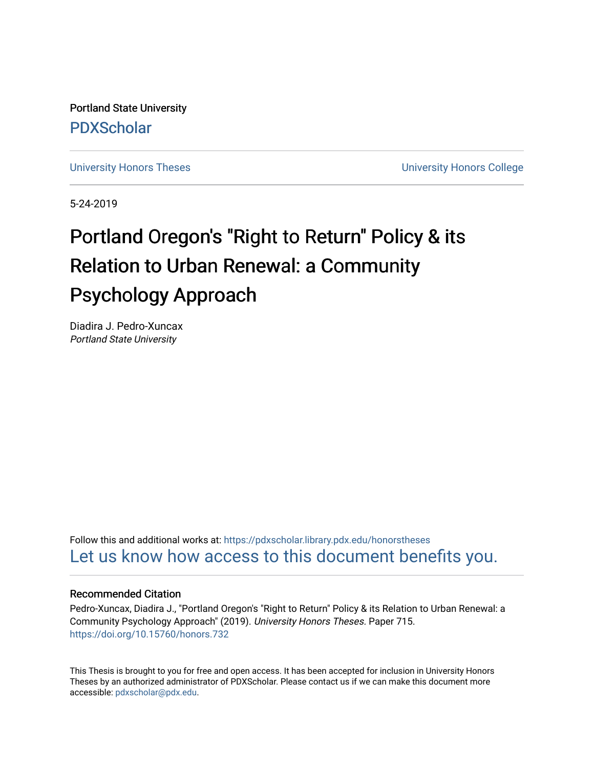Portland State University [PDXScholar](https://pdxscholar.library.pdx.edu/)

[University Honors Theses](https://pdxscholar.library.pdx.edu/honorstheses) **University Honors College** 

5-24-2019

# Portland Oregon's "Right to Return" Policy & its Relation to Urban Renewal: a Community Psychology Approach

Diadira J. Pedro-Xuncax Portland State University

Follow this and additional works at: [https://pdxscholar.library.pdx.edu/honorstheses](https://pdxscholar.library.pdx.edu/honorstheses?utm_source=pdxscholar.library.pdx.edu%2Fhonorstheses%2F715&utm_medium=PDF&utm_campaign=PDFCoverPages)  [Let us know how access to this document benefits you.](http://library.pdx.edu/services/pdxscholar-services/pdxscholar-feedback/) 

# Recommended Citation

Pedro-Xuncax, Diadira J., "Portland Oregon's "Right to Return" Policy & its Relation to Urban Renewal: a Community Psychology Approach" (2019). University Honors Theses. Paper 715. <https://doi.org/10.15760/honors.732>

This Thesis is brought to you for free and open access. It has been accepted for inclusion in University Honors Theses by an authorized administrator of PDXScholar. Please contact us if we can make this document more accessible: [pdxscholar@pdx.edu.](mailto:pdxscholar@pdx.edu)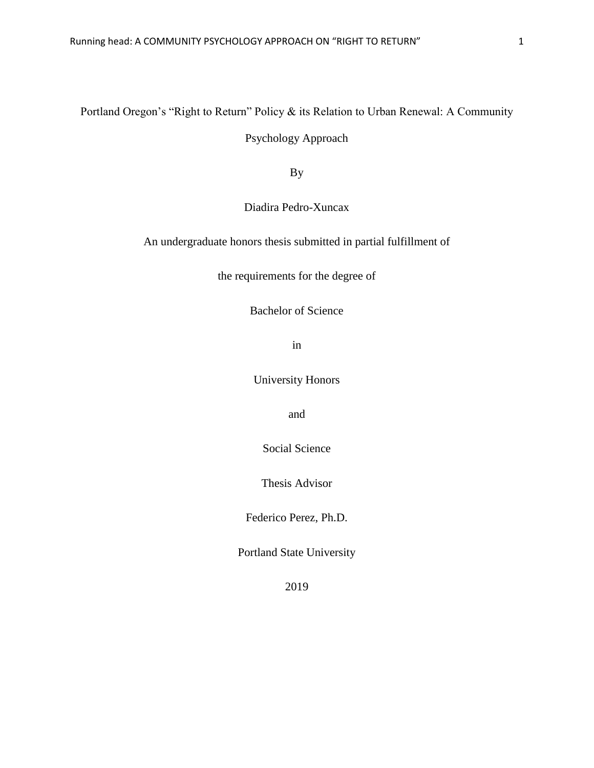# Portland Oregon's "Right to Return" Policy & its Relation to Urban Renewal: A Community

Psychology Approach

By

Diadira Pedro-Xuncax

An undergraduate honors thesis submitted in partial fulfillment of

the requirements for the degree of

Bachelor of Science

in

University Honors

and

Social Science

Thesis Advisor

Federico Perez, Ph.D.

Portland State University

2019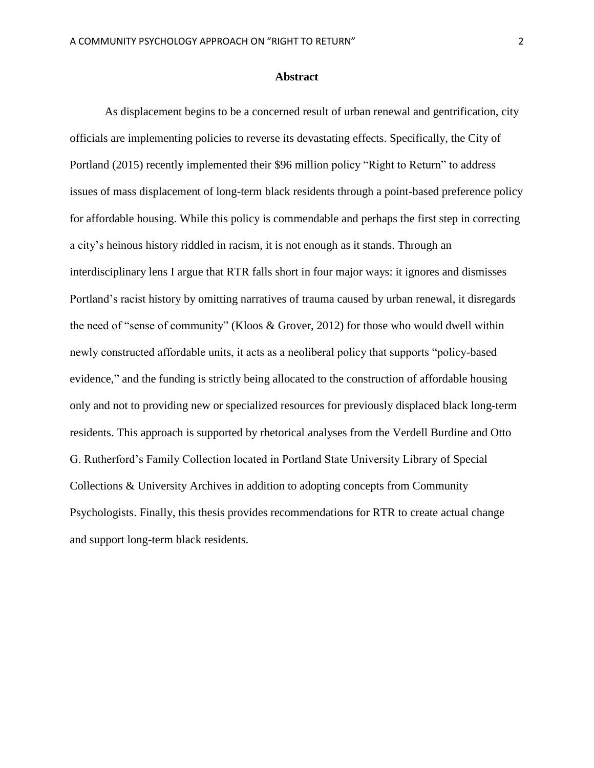## **Abstract**

As displacement begins to be a concerned result of urban renewal and gentrification, city officials are implementing policies to reverse its devastating effects. Specifically, the City of Portland (2015) recently implemented their \$96 million policy "Right to Return" to address issues of mass displacement of long-term black residents through a point-based preference policy for affordable housing. While this policy is commendable and perhaps the first step in correcting a city's heinous history riddled in racism, it is not enough as it stands. Through an interdisciplinary lens I argue that RTR falls short in four major ways: it ignores and dismisses Portland's racist history by omitting narratives of trauma caused by urban renewal, it disregards the need of "sense of community" (Kloos & Grover, 2012) for those who would dwell within newly constructed affordable units, it acts as a neoliberal policy that supports "policy-based evidence," and the funding is strictly being allocated to the construction of affordable housing only and not to providing new or specialized resources for previously displaced black long-term residents. This approach is supported by rhetorical analyses from the Verdell Burdine and Otto G. Rutherford's Family Collection located in Portland State University Library of Special Collections & University Archives in addition to adopting concepts from Community Psychologists. Finally, this thesis provides recommendations for RTR to create actual change and support long-term black residents.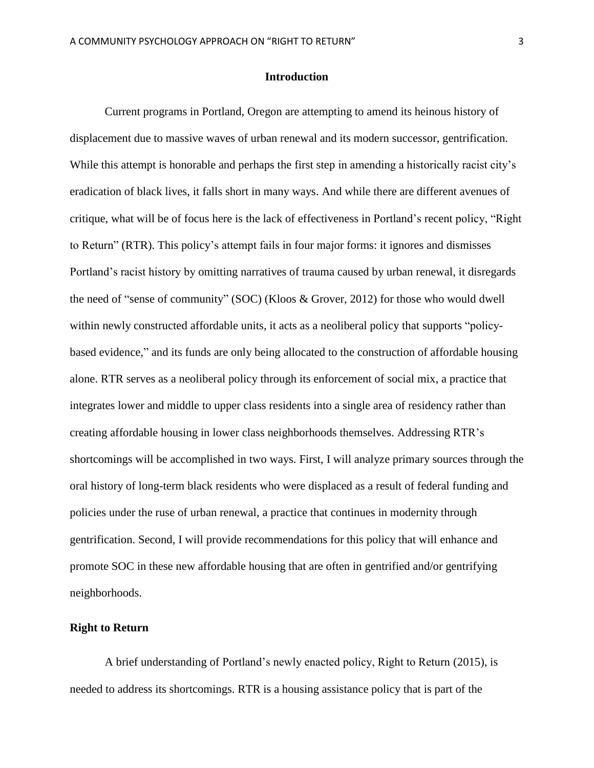## **Introduction**

Current programs in Portland, Oregon are attempting to amend its heinous history of displacement due to massive waves of urban renewal and its modern successor, gentrification. While this attempt is honorable and perhaps the first step in amending a historically racist city's eradication of black lives, it falls short in many ways. And while there are different avenues of critique, what will be of focus here is the lack of effectiveness in Portland's recent policy, "Right to Return" (RTR). This policy's attempt fails in four major forms: it ignores and dismisses Portland's racist history by omitting narratives of trauma caused by urban renewal, it disregards the need of "sense of community" (SOC) (Kloos & Grover, 2012) for those who would dwell within newly constructed affordable units, it acts as a neoliberal policy that supports "policybased evidence," and its funds are only being allocated to the construction of affordable housing alone. RTR serves as a neoliberal policy through its enforcement of social mix, a practice that integrates lower and middle to upper class residents into a single area of residency rather than creating affordable housing in lower class neighborhoods themselves. Addressing RTR's shortcomings will be accomplished in two ways. First, I will analyze primary sources through the oral history of long-term black residents who were displaced as a result of federal funding and policies under the ruse of urban renewal, a practice that continues in modernity through gentrification. Second, I will provide recommendations for this policy that will enhance and promote SOC in these new affordable housing that are often in gentrified and/or gentrifying neighborhoods.

#### **Right to Return**

A brief understanding of Portland's newly enacted policy, Right to Return (2015), is needed to address its shortcomings. RTR is a housing assistance policy that is part of the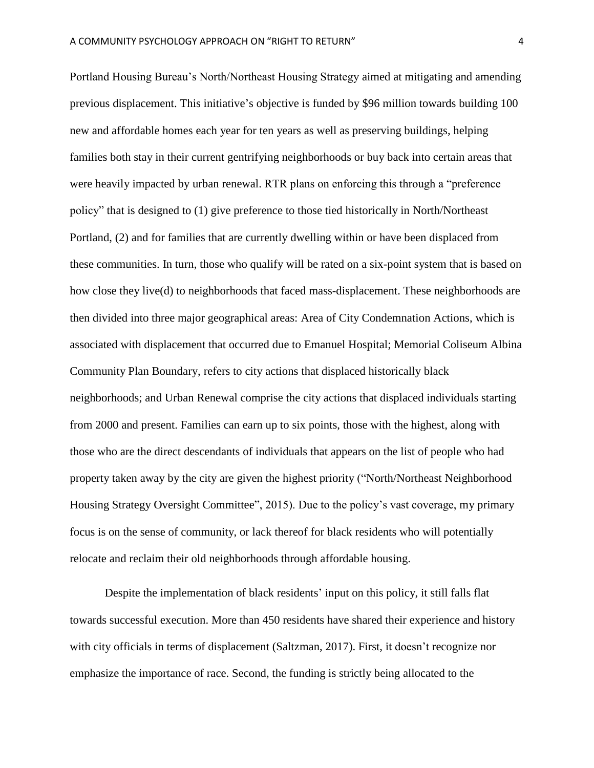Portland Housing Bureau's North/Northeast Housing Strategy aimed at mitigating and amending previous displacement. This initiative's objective is funded by \$96 million towards building 100 new and affordable homes each year for ten years as well as preserving buildings, helping families both stay in their current gentrifying neighborhoods or buy back into certain areas that were heavily impacted by urban renewal. RTR plans on enforcing this through a "preference policy" that is designed to (1) give preference to those tied historically in North/Northeast Portland, (2) and for families that are currently dwelling within or have been displaced from these communities. In turn, those who qualify will be rated on a six-point system that is based on how close they live(d) to neighborhoods that faced mass-displacement. These neighborhoods are then divided into three major geographical areas: Area of City Condemnation Actions, which is associated with displacement that occurred due to Emanuel Hospital; Memorial Coliseum Albina Community Plan Boundary, refers to city actions that displaced historically black neighborhoods; and Urban Renewal comprise the city actions that displaced individuals starting from 2000 and present. Families can earn up to six points, those with the highest, along with those who are the direct descendants of individuals that appears on the list of people who had property taken away by the city are given the highest priority ("North/Northeast Neighborhood Housing Strategy Oversight Committee", 2015). Due to the policy's vast coverage, my primary focus is on the sense of community, or lack thereof for black residents who will potentially relocate and reclaim their old neighborhoods through affordable housing.

Despite the implementation of black residents' input on this policy, it still falls flat towards successful execution. More than 450 residents have shared their experience and history with city officials in terms of displacement (Saltzman, 2017). First, it doesn't recognize nor emphasize the importance of race. Second, the funding is strictly being allocated to the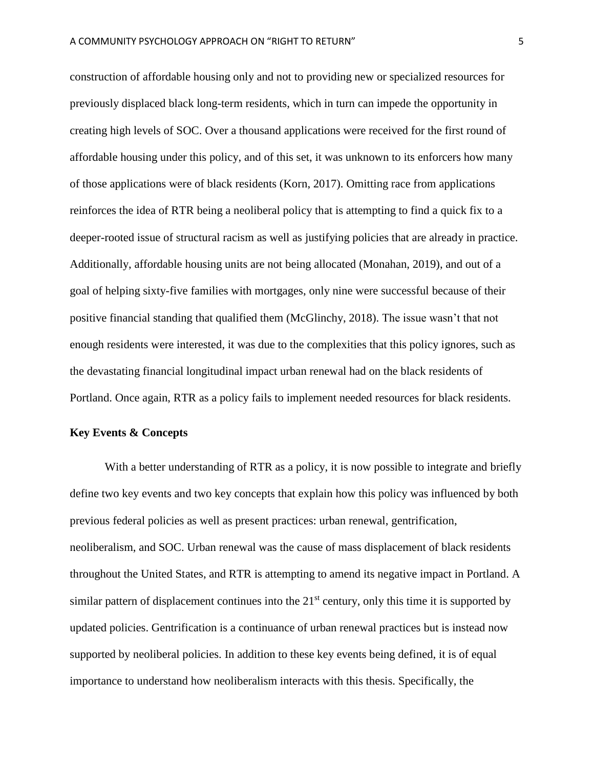construction of affordable housing only and not to providing new or specialized resources for previously displaced black long-term residents, which in turn can impede the opportunity in creating high levels of SOC. Over a thousand applications were received for the first round of affordable housing under this policy, and of this set, it was unknown to its enforcers how many of those applications were of black residents (Korn, 2017). Omitting race from applications reinforces the idea of RTR being a neoliberal policy that is attempting to find a quick fix to a deeper-rooted issue of structural racism as well as justifying policies that are already in practice. Additionally, affordable housing units are not being allocated (Monahan, 2019), and out of a goal of helping sixty-five families with mortgages, only nine were successful because of their positive financial standing that qualified them (McGlinchy, 2018). The issue wasn't that not enough residents were interested, it was due to the complexities that this policy ignores, such as the devastating financial longitudinal impact urban renewal had on the black residents of Portland. Once again, RTR as a policy fails to implement needed resources for black residents.

## **Key Events & Concepts**

With a better understanding of RTR as a policy, it is now possible to integrate and briefly define two key events and two key concepts that explain how this policy was influenced by both previous federal policies as well as present practices: urban renewal, gentrification, neoliberalism, and SOC. Urban renewal was the cause of mass displacement of black residents throughout the United States, and RTR is attempting to amend its negative impact in Portland. A similar pattern of displacement continues into the  $21<sup>st</sup>$  century, only this time it is supported by updated policies. Gentrification is a continuance of urban renewal practices but is instead now supported by neoliberal policies. In addition to these key events being defined, it is of equal importance to understand how neoliberalism interacts with this thesis. Specifically, the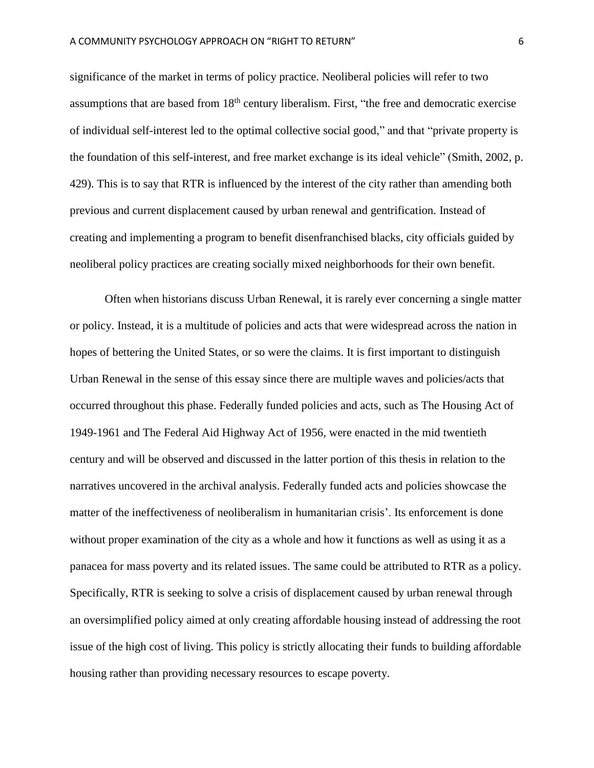significance of the market in terms of policy practice. Neoliberal policies will refer to two assumptions that are based from 18<sup>th</sup> century liberalism. First, "the free and democratic exercise of individual self-interest led to the optimal collective social good," and that "private property is the foundation of this self-interest, and free market exchange is its ideal vehicle" (Smith, 2002, p. 429). This is to say that RTR is influenced by the interest of the city rather than amending both previous and current displacement caused by urban renewal and gentrification. Instead of creating and implementing a program to benefit disenfranchised blacks, city officials guided by neoliberal policy practices are creating socially mixed neighborhoods for their own benefit.

Often when historians discuss Urban Renewal, it is rarely ever concerning a single matter or policy. Instead, it is a multitude of policies and acts that were widespread across the nation in hopes of bettering the United States, or so were the claims. It is first important to distinguish Urban Renewal in the sense of this essay since there are multiple waves and policies/acts that occurred throughout this phase. Federally funded policies and acts, such as The Housing Act of 1949-1961 and The Federal Aid Highway Act of 1956, were enacted in the mid twentieth century and will be observed and discussed in the latter portion of this thesis in relation to the narratives uncovered in the archival analysis. Federally funded acts and policies showcase the matter of the ineffectiveness of neoliberalism in humanitarian crisis'. Its enforcement is done without proper examination of the city as a whole and how it functions as well as using it as a panacea for mass poverty and its related issues. The same could be attributed to RTR as a policy. Specifically, RTR is seeking to solve a crisis of displacement caused by urban renewal through an oversimplified policy aimed at only creating affordable housing instead of addressing the root issue of the high cost of living. This policy is strictly allocating their funds to building affordable housing rather than providing necessary resources to escape poverty.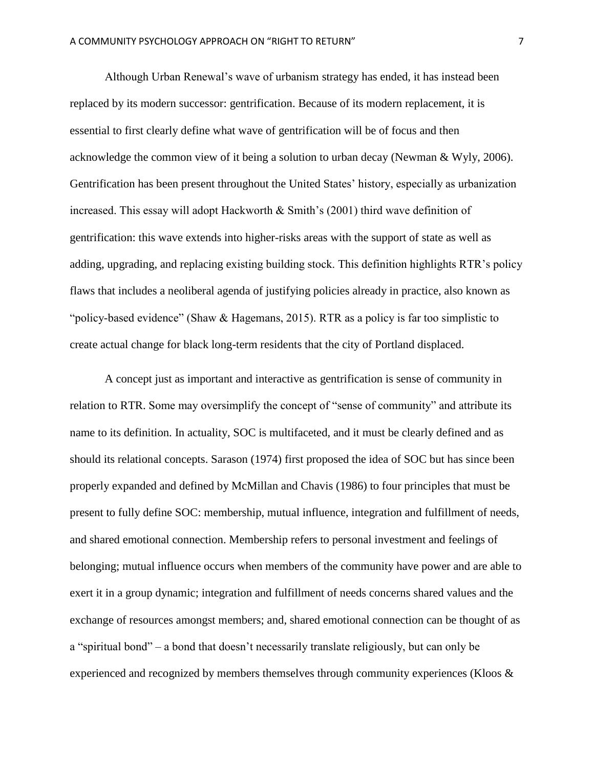Although Urban Renewal's wave of urbanism strategy has ended, it has instead been replaced by its modern successor: gentrification. Because of its modern replacement, it is essential to first clearly define what wave of gentrification will be of focus and then acknowledge the common view of it being a solution to urban decay (Newman & Wyly, 2006). Gentrification has been present throughout the United States' history, especially as urbanization increased. This essay will adopt Hackworth & Smith's (2001) third wave definition of gentrification: this wave extends into higher-risks areas with the support of state as well as adding, upgrading, and replacing existing building stock. This definition highlights RTR's policy flaws that includes a neoliberal agenda of justifying policies already in practice, also known as "policy-based evidence" (Shaw & Hagemans, 2015). RTR as a policy is far too simplistic to create actual change for black long-term residents that the city of Portland displaced.

A concept just as important and interactive as gentrification is sense of community in relation to RTR. Some may oversimplify the concept of "sense of community" and attribute its name to its definition. In actuality, SOC is multifaceted, and it must be clearly defined and as should its relational concepts. Sarason (1974) first proposed the idea of SOC but has since been properly expanded and defined by McMillan and Chavis (1986) to four principles that must be present to fully define SOC: membership, mutual influence, integration and fulfillment of needs, and shared emotional connection. Membership refers to personal investment and feelings of belonging; mutual influence occurs when members of the community have power and are able to exert it in a group dynamic; integration and fulfillment of needs concerns shared values and the exchange of resources amongst members; and, shared emotional connection can be thought of as a "spiritual bond" – a bond that doesn't necessarily translate religiously, but can only be experienced and recognized by members themselves through community experiences (Kloos &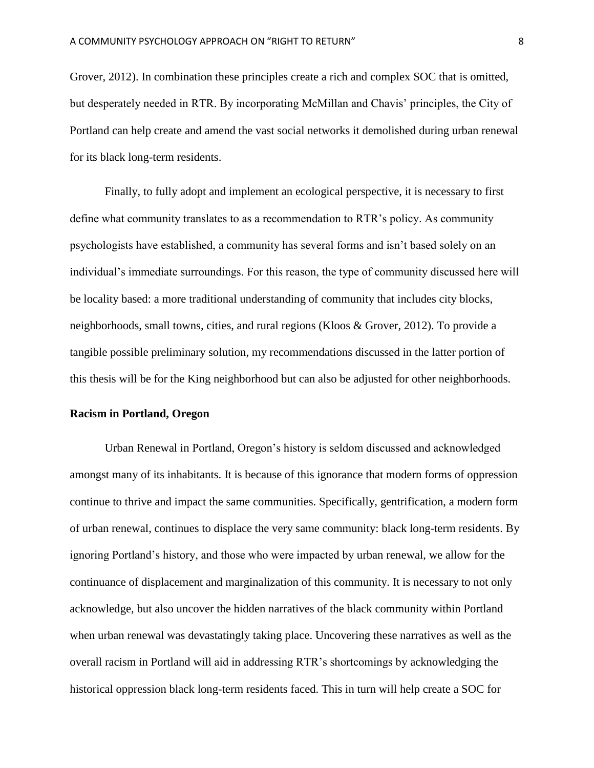Grover, 2012). In combination these principles create a rich and complex SOC that is omitted, but desperately needed in RTR. By incorporating McMillan and Chavis' principles, the City of Portland can help create and amend the vast social networks it demolished during urban renewal for its black long-term residents.

Finally, to fully adopt and implement an ecological perspective, it is necessary to first define what community translates to as a recommendation to RTR's policy. As community psychologists have established, a community has several forms and isn't based solely on an individual's immediate surroundings. For this reason, the type of community discussed here will be locality based: a more traditional understanding of community that includes city blocks, neighborhoods, small towns, cities, and rural regions (Kloos & Grover, 2012). To provide a tangible possible preliminary solution, my recommendations discussed in the latter portion of this thesis will be for the King neighborhood but can also be adjusted for other neighborhoods.

## **Racism in Portland, Oregon**

Urban Renewal in Portland, Oregon's history is seldom discussed and acknowledged amongst many of its inhabitants. It is because of this ignorance that modern forms of oppression continue to thrive and impact the same communities. Specifically, gentrification, a modern form of urban renewal, continues to displace the very same community: black long-term residents. By ignoring Portland's history, and those who were impacted by urban renewal, we allow for the continuance of displacement and marginalization of this community. It is necessary to not only acknowledge, but also uncover the hidden narratives of the black community within Portland when urban renewal was devastatingly taking place. Uncovering these narratives as well as the overall racism in Portland will aid in addressing RTR's shortcomings by acknowledging the historical oppression black long-term residents faced. This in turn will help create a SOC for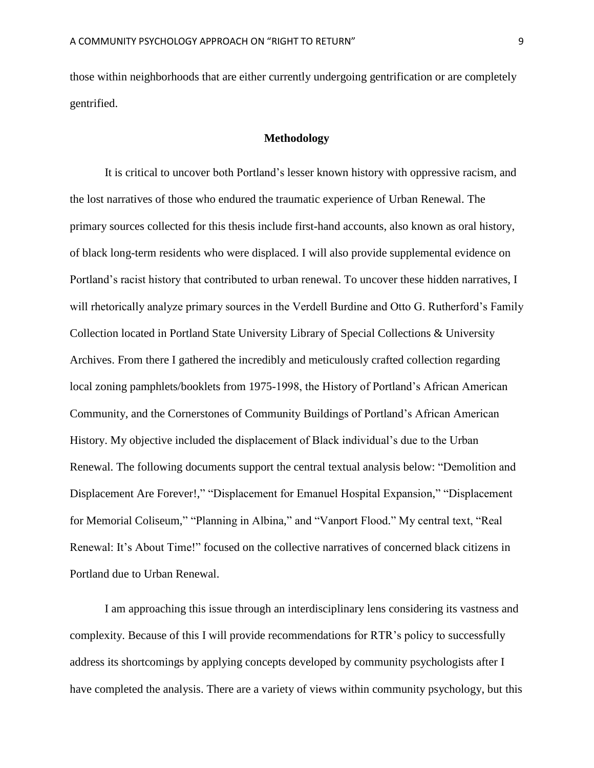those within neighborhoods that are either currently undergoing gentrification or are completely gentrified.

## **Methodology**

It is critical to uncover both Portland's lesser known history with oppressive racism, and the lost narratives of those who endured the traumatic experience of Urban Renewal. The primary sources collected for this thesis include first-hand accounts, also known as oral history, of black long-term residents who were displaced. I will also provide supplemental evidence on Portland's racist history that contributed to urban renewal. To uncover these hidden narratives, I will rhetorically analyze primary sources in the Verdell Burdine and Otto G. Rutherford's Family Collection located in Portland State University Library of Special Collections & University Archives. From there I gathered the incredibly and meticulously crafted collection regarding local zoning pamphlets/booklets from 1975-1998, the History of Portland's African American Community, and the Cornerstones of Community Buildings of Portland's African American History. My objective included the displacement of Black individual's due to the Urban Renewal. The following documents support the central textual analysis below: "Demolition and Displacement Are Forever!," "Displacement for Emanuel Hospital Expansion," "Displacement for Memorial Coliseum," "Planning in Albina," and "Vanport Flood." My central text, "Real Renewal: It's About Time!" focused on the collective narratives of concerned black citizens in Portland due to Urban Renewal.

I am approaching this issue through an interdisciplinary lens considering its vastness and complexity. Because of this I will provide recommendations for RTR's policy to successfully address its shortcomings by applying concepts developed by community psychologists after I have completed the analysis. There are a variety of views within community psychology, but this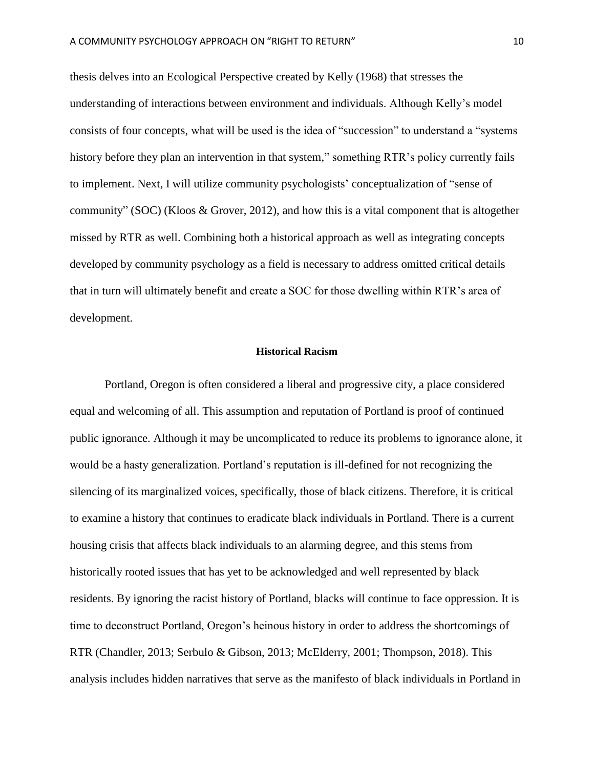thesis delves into an Ecological Perspective created by Kelly (1968) that stresses the understanding of interactions between environment and individuals. Although Kelly's model consists of four concepts, what will be used is the idea of "succession" to understand a "systems history before they plan an intervention in that system," something RTR's policy currently fails to implement. Next, I will utilize community psychologists' conceptualization of "sense of community" (SOC) (Kloos & Grover, 2012), and how this is a vital component that is altogether missed by RTR as well. Combining both a historical approach as well as integrating concepts developed by community psychology as a field is necessary to address omitted critical details that in turn will ultimately benefit and create a SOC for those dwelling within RTR's area of development.

## **Historical Racism**

Portland, Oregon is often considered a liberal and progressive city, a place considered equal and welcoming of all. This assumption and reputation of Portland is proof of continued public ignorance. Although it may be uncomplicated to reduce its problems to ignorance alone, it would be a hasty generalization. Portland's reputation is ill-defined for not recognizing the silencing of its marginalized voices, specifically, those of black citizens. Therefore, it is critical to examine a history that continues to eradicate black individuals in Portland. There is a current housing crisis that affects black individuals to an alarming degree, and this stems from historically rooted issues that has yet to be acknowledged and well represented by black residents. By ignoring the racist history of Portland, blacks will continue to face oppression. It is time to deconstruct Portland, Oregon's heinous history in order to address the shortcomings of RTR (Chandler, 2013; Serbulo & Gibson, 2013; McElderry, 2001; Thompson, 2018). This analysis includes hidden narratives that serve as the manifesto of black individuals in Portland in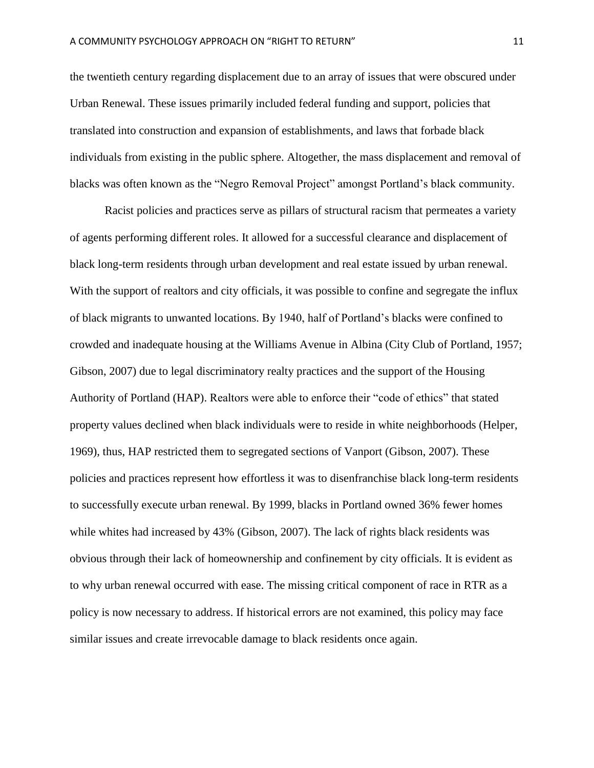the twentieth century regarding displacement due to an array of issues that were obscured under Urban Renewal. These issues primarily included federal funding and support, policies that translated into construction and expansion of establishments, and laws that forbade black individuals from existing in the public sphere. Altogether, the mass displacement and removal of blacks was often known as the "Negro Removal Project" amongst Portland's black community.

Racist policies and practices serve as pillars of structural racism that permeates a variety of agents performing different roles. It allowed for a successful clearance and displacement of black long-term residents through urban development and real estate issued by urban renewal. With the support of realtors and city officials, it was possible to confine and segregate the influx of black migrants to unwanted locations. By 1940, half of Portland's blacks were confined to crowded and inadequate housing at the Williams Avenue in Albina (City Club of Portland, 1957; Gibson, 2007) due to legal discriminatory realty practices and the support of the Housing Authority of Portland (HAP). Realtors were able to enforce their "code of ethics" that stated property values declined when black individuals were to reside in white neighborhoods (Helper, 1969), thus, HAP restricted them to segregated sections of Vanport (Gibson, 2007). These policies and practices represent how effortless it was to disenfranchise black long-term residents to successfully execute urban renewal. By 1999, blacks in Portland owned 36% fewer homes while whites had increased by 43% (Gibson, 2007). The lack of rights black residents was obvious through their lack of homeownership and confinement by city officials. It is evident as to why urban renewal occurred with ease. The missing critical component of race in RTR as a policy is now necessary to address. If historical errors are not examined, this policy may face similar issues and create irrevocable damage to black residents once again.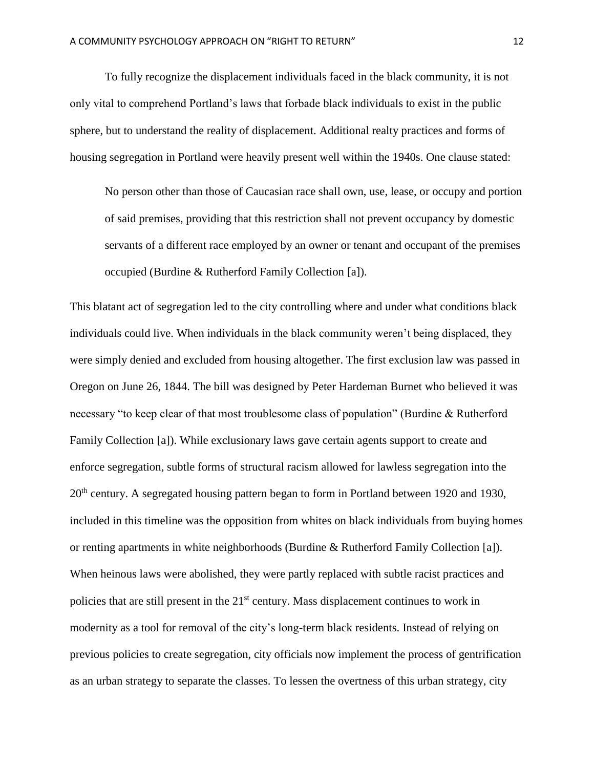To fully recognize the displacement individuals faced in the black community, it is not only vital to comprehend Portland's laws that forbade black individuals to exist in the public sphere, but to understand the reality of displacement. Additional realty practices and forms of housing segregation in Portland were heavily present well within the 1940s. One clause stated:

No person other than those of Caucasian race shall own, use, lease, or occupy and portion of said premises, providing that this restriction shall not prevent occupancy by domestic servants of a different race employed by an owner or tenant and occupant of the premises occupied (Burdine & Rutherford Family Collection [a]).

This blatant act of segregation led to the city controlling where and under what conditions black individuals could live. When individuals in the black community weren't being displaced, they were simply denied and excluded from housing altogether. The first exclusion law was passed in Oregon on June 26, 1844. The bill was designed by Peter Hardeman Burnet who believed it was necessary "to keep clear of that most troublesome class of population" (Burdine & Rutherford Family Collection [a]). While exclusionary laws gave certain agents support to create and enforce segregation, subtle forms of structural racism allowed for lawless segregation into the 20<sup>th</sup> century. A segregated housing pattern began to form in Portland between 1920 and 1930, included in this timeline was the opposition from whites on black individuals from buying homes or renting apartments in white neighborhoods (Burdine & Rutherford Family Collection [a]). When heinous laws were abolished, they were partly replaced with subtle racist practices and policies that are still present in the 21<sup>st</sup> century. Mass displacement continues to work in modernity as a tool for removal of the city's long-term black residents. Instead of relying on previous policies to create segregation, city officials now implement the process of gentrification as an urban strategy to separate the classes. To lessen the overtness of this urban strategy, city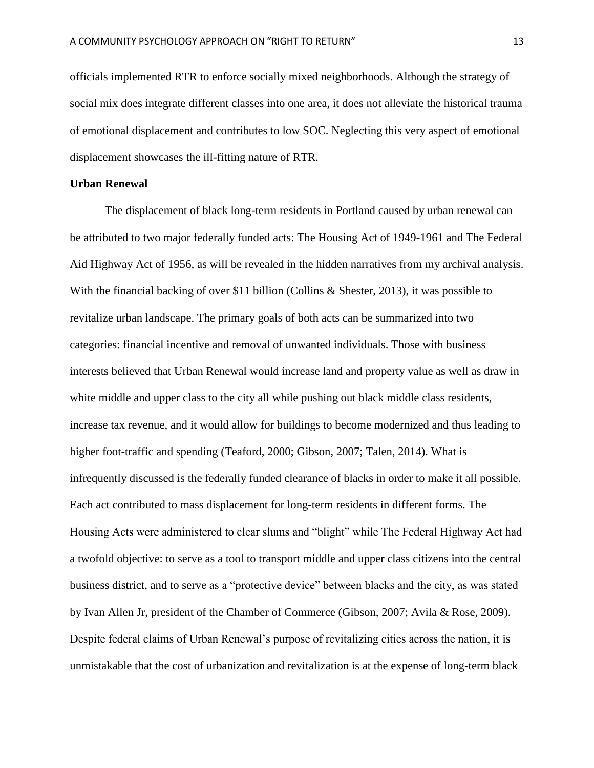officials implemented RTR to enforce socially mixed neighborhoods. Although the strategy of social mix does integrate different classes into one area, it does not alleviate the historical trauma of emotional displacement and contributes to low SOC. Neglecting this very aspect of emotional displacement showcases the ill-fitting nature of RTR.

## **Urban Renewal**

The displacement of black long-term residents in Portland caused by urban renewal can be attributed to two major federally funded acts: The Housing Act of 1949-1961 and The Federal Aid Highway Act of 1956, as will be revealed in the hidden narratives from my archival analysis. With the financial backing of over \$11 billion (Collins & Shester, 2013), it was possible to revitalize urban landscape. The primary goals of both acts can be summarized into two categories: financial incentive and removal of unwanted individuals. Those with business interests believed that Urban Renewal would increase land and property value as well as draw in white middle and upper class to the city all while pushing out black middle class residents, increase tax revenue, and it would allow for buildings to become modernized and thus leading to higher foot-traffic and spending (Teaford, 2000; Gibson, 2007; Talen, 2014). What is infrequently discussed is the federally funded clearance of blacks in order to make it all possible. Each act contributed to mass displacement for long-term residents in different forms. The Housing Acts were administered to clear slums and "blight" while The Federal Highway Act had a twofold objective: to serve as a tool to transport middle and upper class citizens into the central business district, and to serve as a "protective device" between blacks and the city, as was stated by Ivan Allen Jr, president of the Chamber of Commerce (Gibson, 2007; Avila & Rose, 2009). Despite federal claims of Urban Renewal's purpose of revitalizing cities across the nation, it is unmistakable that the cost of urbanization and revitalization is at the expense of long-term black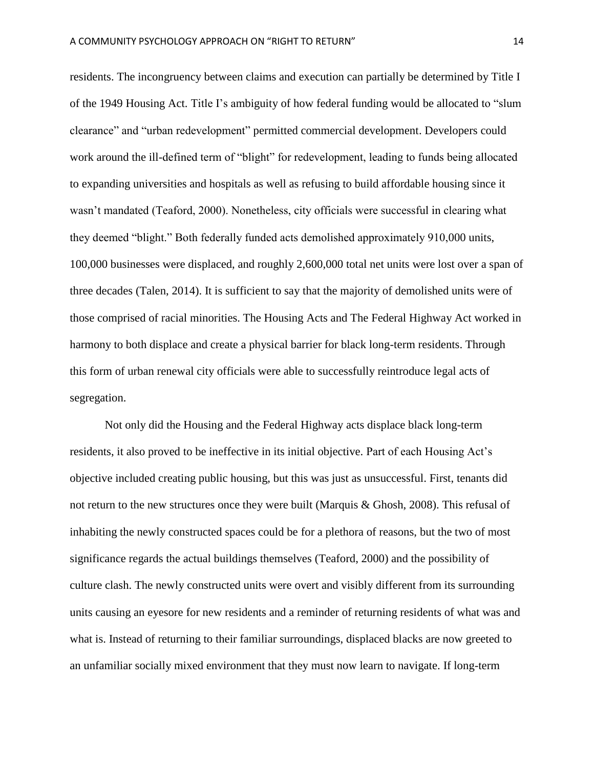residents. The incongruency between claims and execution can partially be determined by Title I of the 1949 Housing Act. Title I's ambiguity of how federal funding would be allocated to "slum clearance" and "urban redevelopment" permitted commercial development. Developers could work around the ill-defined term of "blight" for redevelopment, leading to funds being allocated to expanding universities and hospitals as well as refusing to build affordable housing since it wasn't mandated (Teaford, 2000). Nonetheless, city officials were successful in clearing what they deemed "blight." Both federally funded acts demolished approximately 910,000 units, 100,000 businesses were displaced, and roughly 2,600,000 total net units were lost over a span of three decades (Talen, 2014). It is sufficient to say that the majority of demolished units were of those comprised of racial minorities. The Housing Acts and The Federal Highway Act worked in harmony to both displace and create a physical barrier for black long-term residents. Through this form of urban renewal city officials were able to successfully reintroduce legal acts of segregation.

Not only did the Housing and the Federal Highway acts displace black long-term residents, it also proved to be ineffective in its initial objective. Part of each Housing Act's objective included creating public housing, but this was just as unsuccessful. First, tenants did not return to the new structures once they were built (Marquis & Ghosh, 2008). This refusal of inhabiting the newly constructed spaces could be for a plethora of reasons, but the two of most significance regards the actual buildings themselves (Teaford, 2000) and the possibility of culture clash. The newly constructed units were overt and visibly different from its surrounding units causing an eyesore for new residents and a reminder of returning residents of what was and what is. Instead of returning to their familiar surroundings, displaced blacks are now greeted to an unfamiliar socially mixed environment that they must now learn to navigate. If long-term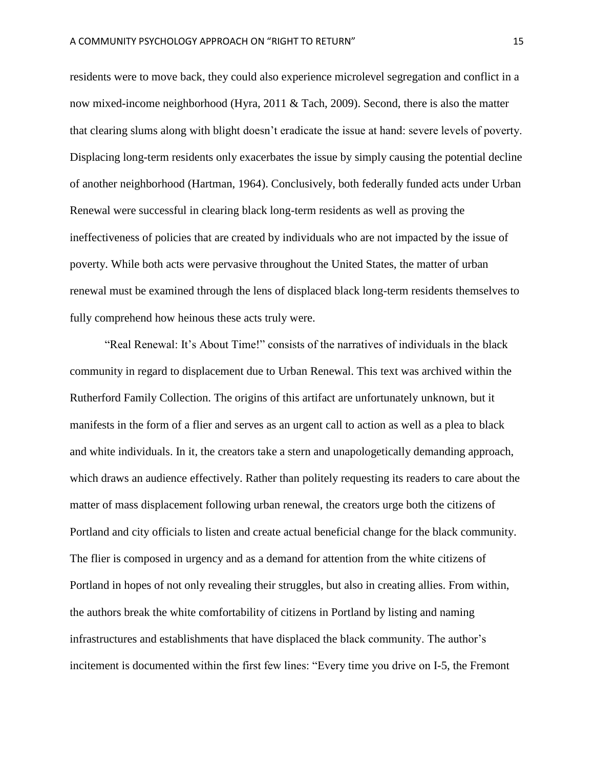residents were to move back, they could also experience microlevel segregation and conflict in a now mixed-income neighborhood (Hyra, 2011 & Tach, 2009). Second, there is also the matter that clearing slums along with blight doesn't eradicate the issue at hand: severe levels of poverty. Displacing long-term residents only exacerbates the issue by simply causing the potential decline of another neighborhood (Hartman, 1964). Conclusively, both federally funded acts under Urban Renewal were successful in clearing black long-term residents as well as proving the ineffectiveness of policies that are created by individuals who are not impacted by the issue of poverty. While both acts were pervasive throughout the United States, the matter of urban renewal must be examined through the lens of displaced black long-term residents themselves to fully comprehend how heinous these acts truly were.

"Real Renewal: It's About Time!" consists of the narratives of individuals in the black community in regard to displacement due to Urban Renewal. This text was archived within the Rutherford Family Collection. The origins of this artifact are unfortunately unknown, but it manifests in the form of a flier and serves as an urgent call to action as well as a plea to black and white individuals. In it, the creators take a stern and unapologetically demanding approach, which draws an audience effectively. Rather than politely requesting its readers to care about the matter of mass displacement following urban renewal, the creators urge both the citizens of Portland and city officials to listen and create actual beneficial change for the black community. The flier is composed in urgency and as a demand for attention from the white citizens of Portland in hopes of not only revealing their struggles, but also in creating allies. From within, the authors break the white comfortability of citizens in Portland by listing and naming infrastructures and establishments that have displaced the black community. The author's incitement is documented within the first few lines: "Every time you drive on I-5, the Fremont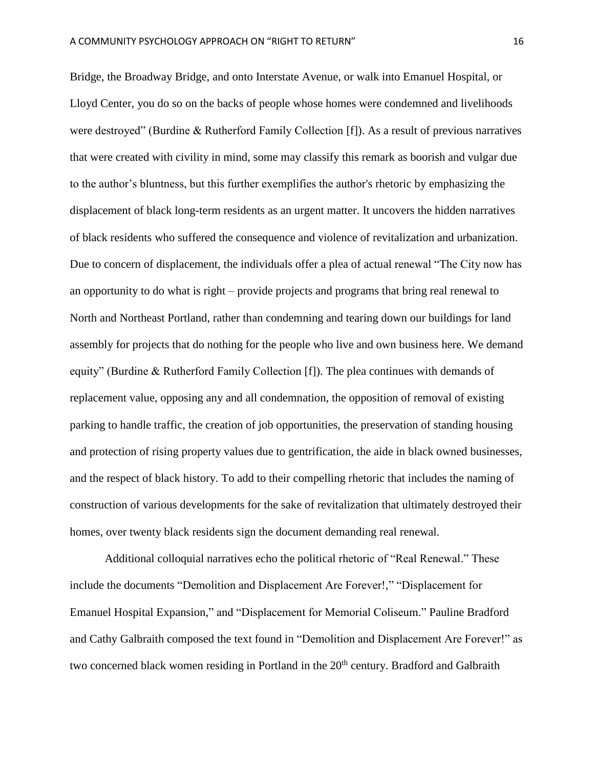Bridge, the Broadway Bridge, and onto Interstate Avenue, or walk into Emanuel Hospital, or Lloyd Center, you do so on the backs of people whose homes were condemned and livelihoods were destroyed" (Burdine & Rutherford Family Collection [f]). As a result of previous narratives that were created with civility in mind, some may classify this remark as boorish and vulgar due to the author's bluntness, but this further exemplifies the author's rhetoric by emphasizing the displacement of black long-term residents as an urgent matter. It uncovers the hidden narratives of black residents who suffered the consequence and violence of revitalization and urbanization. Due to concern of displacement, the individuals offer a plea of actual renewal "The City now has an opportunity to do what is right – provide projects and programs that bring real renewal to North and Northeast Portland, rather than condemning and tearing down our buildings for land assembly for projects that do nothing for the people who live and own business here. We demand equity" (Burdine & Rutherford Family Collection [f]). The plea continues with demands of replacement value, opposing any and all condemnation, the opposition of removal of existing parking to handle traffic, the creation of job opportunities, the preservation of standing housing and protection of rising property values due to gentrification, the aide in black owned businesses, and the respect of black history. To add to their compelling rhetoric that includes the naming of construction of various developments for the sake of revitalization that ultimately destroyed their homes, over twenty black residents sign the document demanding real renewal.

Additional colloquial narratives echo the political rhetoric of "Real Renewal." These include the documents "Demolition and Displacement Are Forever!," "Displacement for Emanuel Hospital Expansion," and "Displacement for Memorial Coliseum." Pauline Bradford and Cathy Galbraith composed the text found in "Demolition and Displacement Are Forever!" as two concerned black women residing in Portland in the 20<sup>th</sup> century. Bradford and Galbraith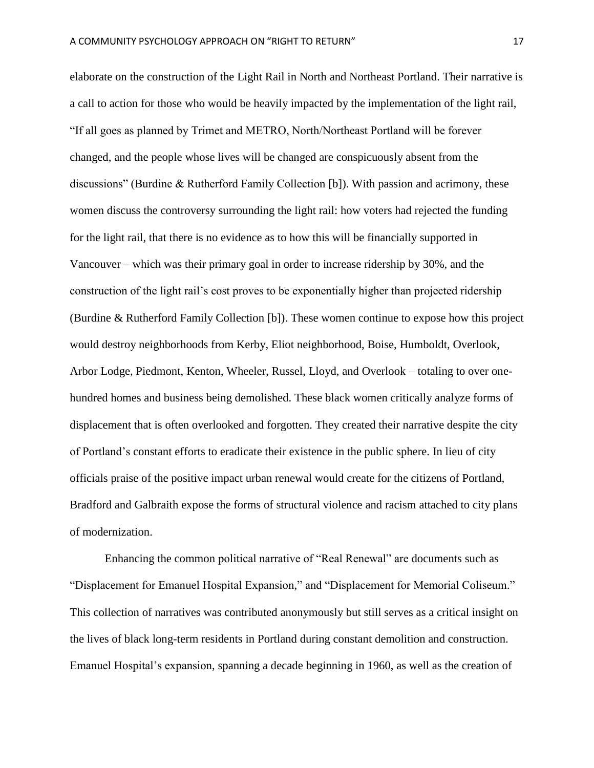elaborate on the construction of the Light Rail in North and Northeast Portland. Their narrative is a call to action for those who would be heavily impacted by the implementation of the light rail, "If all goes as planned by Trimet and METRO, North/Northeast Portland will be forever changed, and the people whose lives will be changed are conspicuously absent from the discussions" (Burdine & Rutherford Family Collection [b]). With passion and acrimony, these women discuss the controversy surrounding the light rail: how voters had rejected the funding for the light rail, that there is no evidence as to how this will be financially supported in Vancouver – which was their primary goal in order to increase ridership by 30%, and the construction of the light rail's cost proves to be exponentially higher than projected ridership (Burdine & Rutherford Family Collection [b]). These women continue to expose how this project would destroy neighborhoods from Kerby, Eliot neighborhood, Boise, Humboldt, Overlook, Arbor Lodge, Piedmont, Kenton, Wheeler, Russel, Lloyd, and Overlook – totaling to over onehundred homes and business being demolished. These black women critically analyze forms of displacement that is often overlooked and forgotten. They created their narrative despite the city of Portland's constant efforts to eradicate their existence in the public sphere. In lieu of city officials praise of the positive impact urban renewal would create for the citizens of Portland, Bradford and Galbraith expose the forms of structural violence and racism attached to city plans of modernization.

 Enhancing the common political narrative of "Real Renewal" are documents such as "Displacement for Emanuel Hospital Expansion," and "Displacement for Memorial Coliseum." This collection of narratives was contributed anonymously but still serves as a critical insight on the lives of black long-term residents in Portland during constant demolition and construction. Emanuel Hospital's expansion, spanning a decade beginning in 1960, as well as the creation of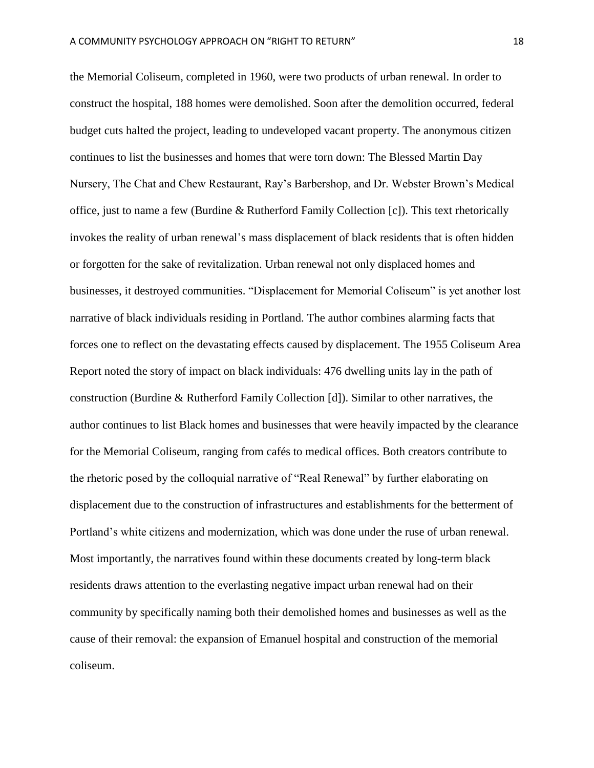the Memorial Coliseum, completed in 1960, were two products of urban renewal. In order to construct the hospital, 188 homes were demolished. Soon after the demolition occurred, federal budget cuts halted the project, leading to undeveloped vacant property. The anonymous citizen continues to list the businesses and homes that were torn down: The Blessed Martin Day Nursery, The Chat and Chew Restaurant, Ray's Barbershop, and Dr. Webster Brown's Medical office, just to name a few (Burdine & Rutherford Family Collection [c]). This text rhetorically invokes the reality of urban renewal's mass displacement of black residents that is often hidden or forgotten for the sake of revitalization. Urban renewal not only displaced homes and businesses, it destroyed communities. "Displacement for Memorial Coliseum" is yet another lost narrative of black individuals residing in Portland. The author combines alarming facts that forces one to reflect on the devastating effects caused by displacement. The 1955 Coliseum Area Report noted the story of impact on black individuals: 476 dwelling units lay in the path of construction (Burdine & Rutherford Family Collection [d]). Similar to other narratives, the author continues to list Black homes and businesses that were heavily impacted by the clearance for the Memorial Coliseum, ranging from cafés to medical offices. Both creators contribute to the rhetoric posed by the colloquial narrative of "Real Renewal" by further elaborating on displacement due to the construction of infrastructures and establishments for the betterment of Portland's white citizens and modernization, which was done under the ruse of urban renewal. Most importantly, the narratives found within these documents created by long-term black residents draws attention to the everlasting negative impact urban renewal had on their community by specifically naming both their demolished homes and businesses as well as the cause of their removal: the expansion of Emanuel hospital and construction of the memorial coliseum.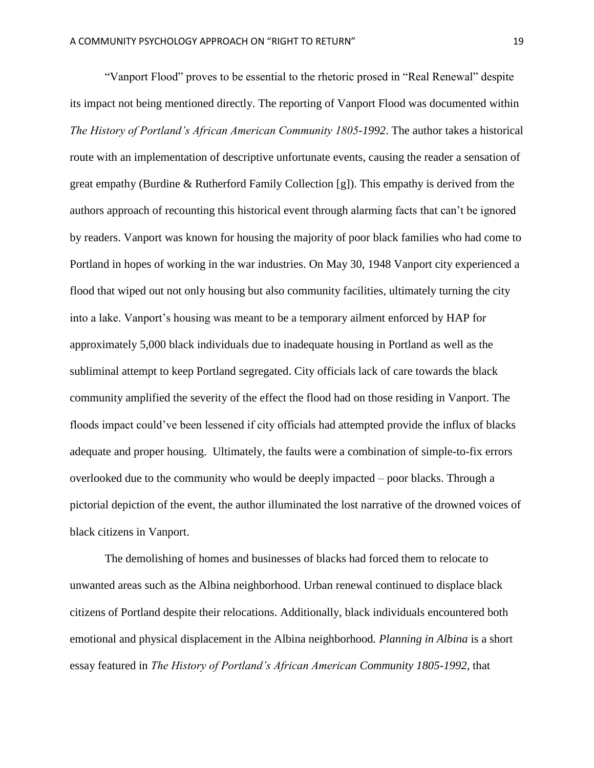"Vanport Flood" proves to be essential to the rhetoric prosed in "Real Renewal" despite its impact not being mentioned directly. The reporting of Vanport Flood was documented within *The History of Portland's African American Community 1805-1992*. The author takes a historical route with an implementation of descriptive unfortunate events, causing the reader a sensation of great empathy (Burdine & Rutherford Family Collection [g]). This empathy is derived from the authors approach of recounting this historical event through alarming facts that can't be ignored by readers. Vanport was known for housing the majority of poor black families who had come to Portland in hopes of working in the war industries. On May 30, 1948 Vanport city experienced a flood that wiped out not only housing but also community facilities, ultimately turning the city into a lake. Vanport's housing was meant to be a temporary ailment enforced by HAP for approximately 5,000 black individuals due to inadequate housing in Portland as well as the subliminal attempt to keep Portland segregated. City officials lack of care towards the black community amplified the severity of the effect the flood had on those residing in Vanport. The floods impact could've been lessened if city officials had attempted provide the influx of blacks adequate and proper housing. Ultimately, the faults were a combination of simple-to-fix errors overlooked due to the community who would be deeply impacted – poor blacks. Through a pictorial depiction of the event, the author illuminated the lost narrative of the drowned voices of black citizens in Vanport.

The demolishing of homes and businesses of blacks had forced them to relocate to unwanted areas such as the Albina neighborhood. Urban renewal continued to displace black citizens of Portland despite their relocations. Additionally, black individuals encountered both emotional and physical displacement in the Albina neighborhood*. Planning in Albina* is a short essay featured in *The History of Portland's African American Community 1805-1992,* that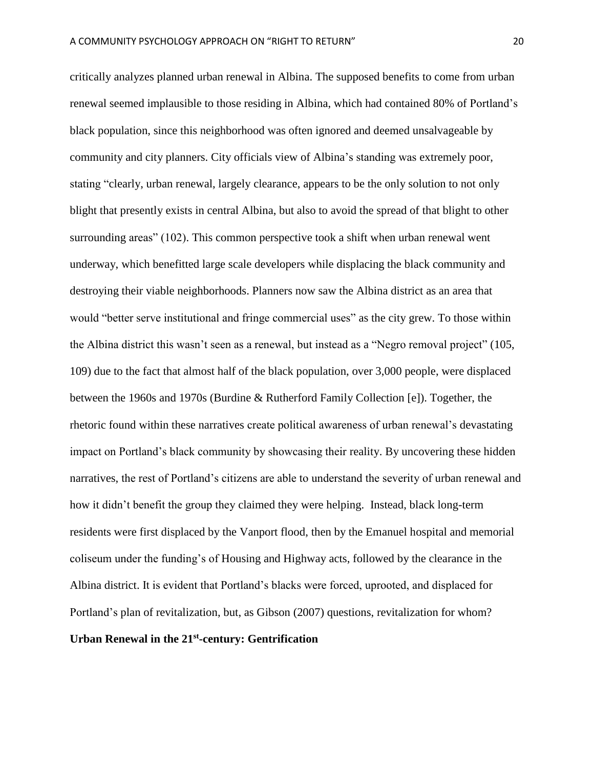critically analyzes planned urban renewal in Albina. The supposed benefits to come from urban renewal seemed implausible to those residing in Albina, which had contained 80% of Portland's black population, since this neighborhood was often ignored and deemed unsalvageable by community and city planners. City officials view of Albina's standing was extremely poor, stating "clearly, urban renewal, largely clearance, appears to be the only solution to not only blight that presently exists in central Albina, but also to avoid the spread of that blight to other surrounding areas" (102). This common perspective took a shift when urban renewal went underway, which benefitted large scale developers while displacing the black community and destroying their viable neighborhoods. Planners now saw the Albina district as an area that would "better serve institutional and fringe commercial uses" as the city grew. To those within the Albina district this wasn't seen as a renewal, but instead as a "Negro removal project" (105, 109) due to the fact that almost half of the black population, over 3,000 people, were displaced between the 1960s and 1970s (Burdine & Rutherford Family Collection [e]). Together, the rhetoric found within these narratives create political awareness of urban renewal's devastating impact on Portland's black community by showcasing their reality. By uncovering these hidden narratives, the rest of Portland's citizens are able to understand the severity of urban renewal and how it didn't benefit the group they claimed they were helping. Instead, black long-term residents were first displaced by the Vanport flood, then by the Emanuel hospital and memorial coliseum under the funding's of Housing and Highway acts, followed by the clearance in the Albina district. It is evident that Portland's blacks were forced, uprooted, and displaced for Portland's plan of revitalization, but, as Gibson (2007) questions, revitalization for whom? Urban Renewal in the 21<sup>st</sup>-century: Gentrification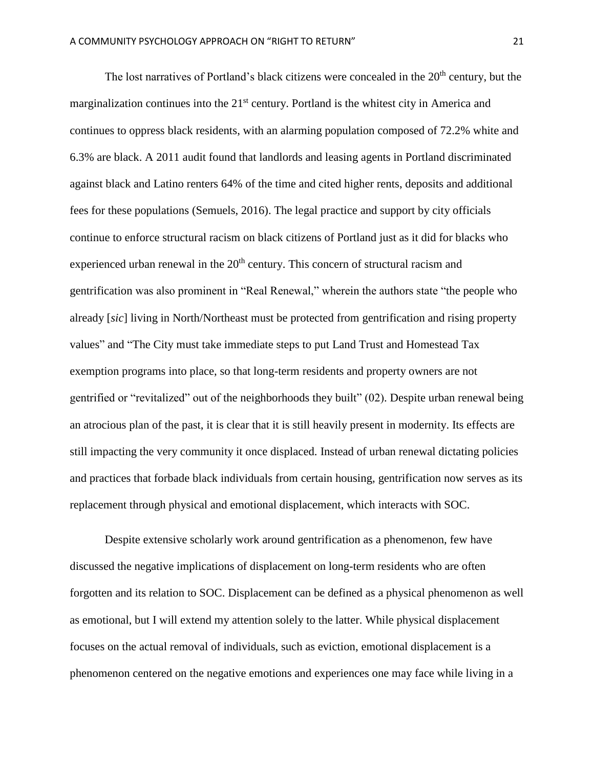The lost narratives of Portland's black citizens were concealed in the  $20<sup>th</sup>$  century, but the marginalization continues into the 21<sup>st</sup> century. Portland is the whitest city in America and continues to oppress black residents, with an alarming population composed of 72.2% white and 6.3% are black. A 2011 audit found that landlords and leasing agents in Portland discriminated against black and Latino renters 64% of the time and cited higher rents, deposits and additional fees for these populations (Semuels, 2016). The legal practice and support by city officials continue to enforce structural racism on black citizens of Portland just as it did for blacks who experienced urban renewal in the  $20<sup>th</sup>$  century. This concern of structural racism and gentrification was also prominent in "Real Renewal," wherein the authors state "the people who already [*sic*] living in North/Northeast must be protected from gentrification and rising property values" and "The City must take immediate steps to put Land Trust and Homestead Tax exemption programs into place, so that long-term residents and property owners are not gentrified or "revitalized" out of the neighborhoods they built" (02). Despite urban renewal being an atrocious plan of the past, it is clear that it is still heavily present in modernity. Its effects are still impacting the very community it once displaced. Instead of urban renewal dictating policies and practices that forbade black individuals from certain housing, gentrification now serves as its replacement through physical and emotional displacement, which interacts with SOC.

Despite extensive scholarly work around gentrification as a phenomenon, few have discussed the negative implications of displacement on long-term residents who are often forgotten and its relation to SOC. Displacement can be defined as a physical phenomenon as well as emotional, but I will extend my attention solely to the latter. While physical displacement focuses on the actual removal of individuals, such as eviction, emotional displacement is a phenomenon centered on the negative emotions and experiences one may face while living in a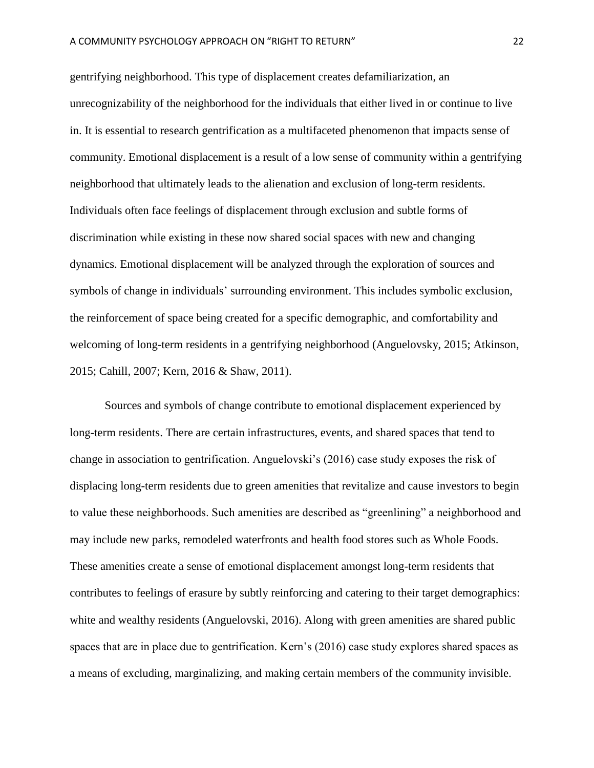gentrifying neighborhood. This type of displacement creates defamiliarization, an unrecognizability of the neighborhood for the individuals that either lived in or continue to live in. It is essential to research gentrification as a multifaceted phenomenon that impacts sense of community. Emotional displacement is a result of a low sense of community within a gentrifying neighborhood that ultimately leads to the alienation and exclusion of long-term residents. Individuals often face feelings of displacement through exclusion and subtle forms of discrimination while existing in these now shared social spaces with new and changing dynamics. Emotional displacement will be analyzed through the exploration of sources and symbols of change in individuals' surrounding environment. This includes symbolic exclusion, the reinforcement of space being created for a specific demographic, and comfortability and welcoming of long-term residents in a gentrifying neighborhood (Anguelovsky, 2015; Atkinson, 2015; Cahill, 2007; Kern, 2016 & Shaw, 2011).

Sources and symbols of change contribute to emotional displacement experienced by long-term residents. There are certain infrastructures, events, and shared spaces that tend to change in association to gentrification. Anguelovski's (2016) case study exposes the risk of displacing long-term residents due to green amenities that revitalize and cause investors to begin to value these neighborhoods. Such amenities are described as "greenlining" a neighborhood and may include new parks, remodeled waterfronts and health food stores such as Whole Foods. These amenities create a sense of emotional displacement amongst long-term residents that contributes to feelings of erasure by subtly reinforcing and catering to their target demographics: white and wealthy residents (Anguelovski, 2016). Along with green amenities are shared public spaces that are in place due to gentrification. Kern's (2016) case study explores shared spaces as a means of excluding, marginalizing, and making certain members of the community invisible.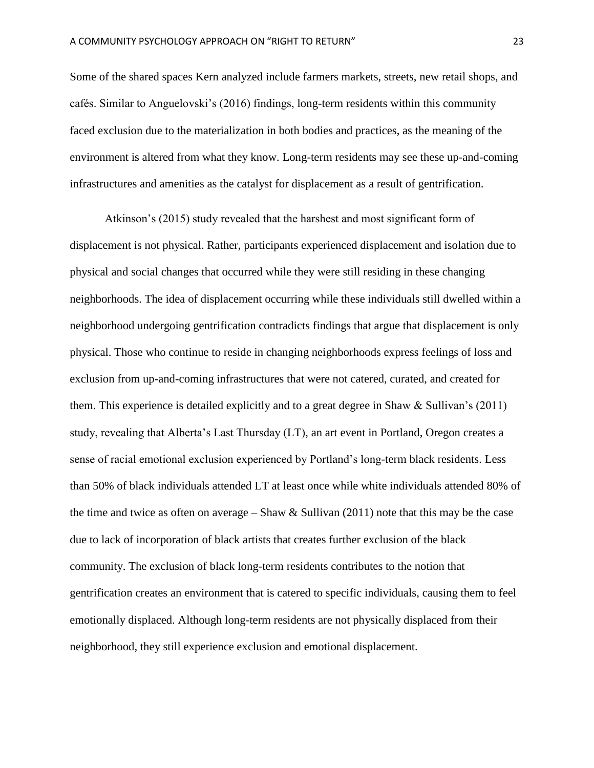Some of the shared spaces Kern analyzed include farmers markets, streets, new retail shops, and cafés. Similar to Anguelovski's (2016) findings, long-term residents within this community faced exclusion due to the materialization in both bodies and practices, as the meaning of the environment is altered from what they know. Long-term residents may see these up-and-coming infrastructures and amenities as the catalyst for displacement as a result of gentrification.

Atkinson's (2015) study revealed that the harshest and most significant form of displacement is not physical. Rather, participants experienced displacement and isolation due to physical and social changes that occurred while they were still residing in these changing neighborhoods. The idea of displacement occurring while these individuals still dwelled within a neighborhood undergoing gentrification contradicts findings that argue that displacement is only physical. Those who continue to reside in changing neighborhoods express feelings of loss and exclusion from up-and-coming infrastructures that were not catered, curated, and created for them. This experience is detailed explicitly and to a great degree in Shaw & Sullivan's (2011) study, revealing that Alberta's Last Thursday (LT), an art event in Portland, Oregon creates a sense of racial emotional exclusion experienced by Portland's long-term black residents. Less than 50% of black individuals attended LT at least once while white individuals attended 80% of the time and twice as often on average – Shaw  $&$  Sullivan (2011) note that this may be the case due to lack of incorporation of black artists that creates further exclusion of the black community. The exclusion of black long-term residents contributes to the notion that gentrification creates an environment that is catered to specific individuals, causing them to feel emotionally displaced. Although long-term residents are not physically displaced from their neighborhood, they still experience exclusion and emotional displacement.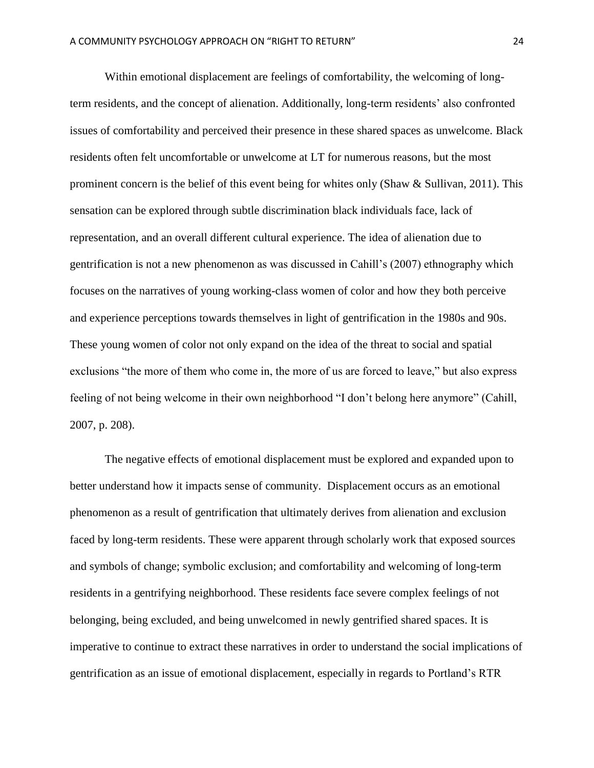Within emotional displacement are feelings of comfortability, the welcoming of longterm residents, and the concept of alienation. Additionally, long-term residents' also confronted issues of comfortability and perceived their presence in these shared spaces as unwelcome. Black residents often felt uncomfortable or unwelcome at LT for numerous reasons, but the most prominent concern is the belief of this event being for whites only (Shaw & Sullivan, 2011). This sensation can be explored through subtle discrimination black individuals face, lack of representation, and an overall different cultural experience. The idea of alienation due to gentrification is not a new phenomenon as was discussed in Cahill's (2007) ethnography which focuses on the narratives of young working-class women of color and how they both perceive and experience perceptions towards themselves in light of gentrification in the 1980s and 90s. These young women of color not only expand on the idea of the threat to social and spatial exclusions "the more of them who come in, the more of us are forced to leave," but also express feeling of not being welcome in their own neighborhood "I don't belong here anymore" (Cahill, 2007, p. 208).

The negative effects of emotional displacement must be explored and expanded upon to better understand how it impacts sense of community. Displacement occurs as an emotional phenomenon as a result of gentrification that ultimately derives from alienation and exclusion faced by long-term residents. These were apparent through scholarly work that exposed sources and symbols of change; symbolic exclusion; and comfortability and welcoming of long-term residents in a gentrifying neighborhood. These residents face severe complex feelings of not belonging, being excluded, and being unwelcomed in newly gentrified shared spaces. It is imperative to continue to extract these narratives in order to understand the social implications of gentrification as an issue of emotional displacement, especially in regards to Portland's RTR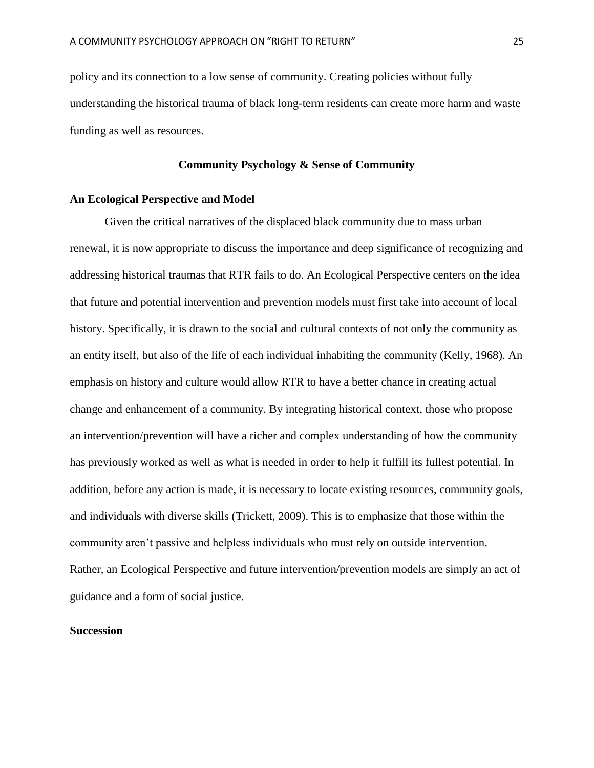policy and its connection to a low sense of community. Creating policies without fully understanding the historical trauma of black long-term residents can create more harm and waste funding as well as resources.

#### **Community Psychology & Sense of Community**

# **An Ecological Perspective and Model**

Given the critical narratives of the displaced black community due to mass urban renewal, it is now appropriate to discuss the importance and deep significance of recognizing and addressing historical traumas that RTR fails to do. An Ecological Perspective centers on the idea that future and potential intervention and prevention models must first take into account of local history. Specifically, it is drawn to the social and cultural contexts of not only the community as an entity itself, but also of the life of each individual inhabiting the community (Kelly, 1968). An emphasis on history and culture would allow RTR to have a better chance in creating actual change and enhancement of a community. By integrating historical context, those who propose an intervention/prevention will have a richer and complex understanding of how the community has previously worked as well as what is needed in order to help it fulfill its fullest potential. In addition, before any action is made, it is necessary to locate existing resources, community goals, and individuals with diverse skills (Trickett, 2009). This is to emphasize that those within the community aren't passive and helpless individuals who must rely on outside intervention. Rather, an Ecological Perspective and future intervention/prevention models are simply an act of guidance and a form of social justice.

# **Succession**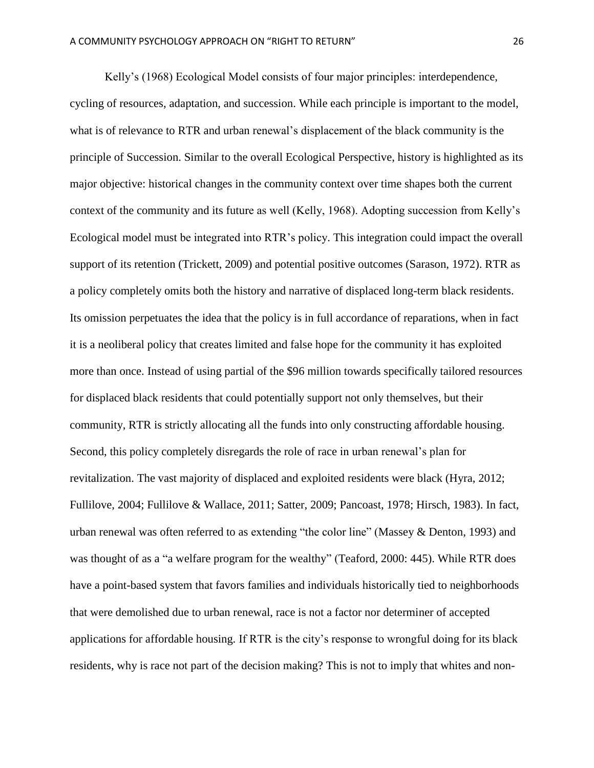Kelly's (1968) Ecological Model consists of four major principles: interdependence, cycling of resources, adaptation, and succession. While each principle is important to the model, what is of relevance to RTR and urban renewal's displacement of the black community is the principle of Succession. Similar to the overall Ecological Perspective, history is highlighted as its major objective: historical changes in the community context over time shapes both the current context of the community and its future as well (Kelly, 1968). Adopting succession from Kelly's Ecological model must be integrated into RTR's policy. This integration could impact the overall support of its retention (Trickett, 2009) and potential positive outcomes (Sarason, 1972). RTR as a policy completely omits both the history and narrative of displaced long-term black residents. Its omission perpetuates the idea that the policy is in full accordance of reparations, when in fact it is a neoliberal policy that creates limited and false hope for the community it has exploited more than once. Instead of using partial of the \$96 million towards specifically tailored resources for displaced black residents that could potentially support not only themselves, but their community, RTR is strictly allocating all the funds into only constructing affordable housing. Second, this policy completely disregards the role of race in urban renewal's plan for revitalization. The vast majority of displaced and exploited residents were black (Hyra, 2012; Fullilove, 2004; Fullilove & Wallace, 2011; Satter, 2009; Pancoast, 1978; Hirsch, 1983). In fact, urban renewal was often referred to as extending "the color line" (Massey & Denton, 1993) and was thought of as a "a welfare program for the wealthy" (Teaford, 2000: 445). While RTR does have a point-based system that favors families and individuals historically tied to neighborhoods that were demolished due to urban renewal, race is not a factor nor determiner of accepted applications for affordable housing. If RTR is the city's response to wrongful doing for its black residents, why is race not part of the decision making? This is not to imply that whites and non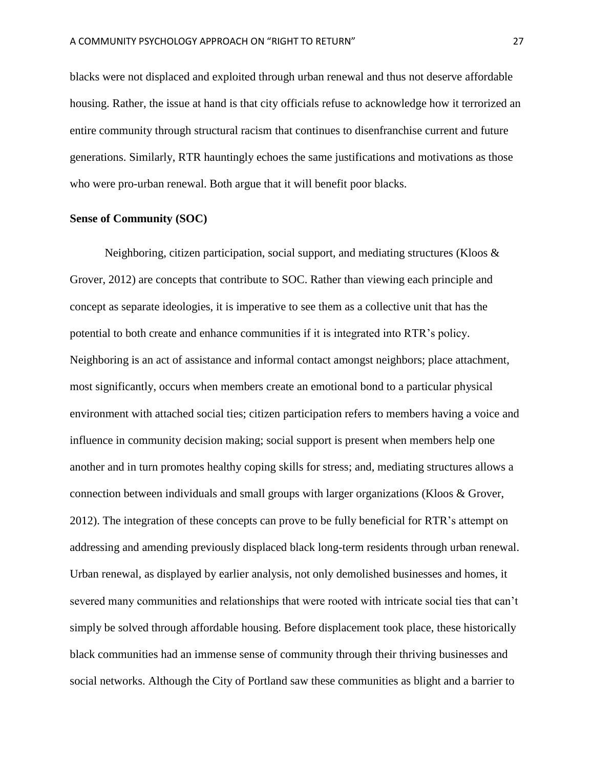blacks were not displaced and exploited through urban renewal and thus not deserve affordable housing. Rather, the issue at hand is that city officials refuse to acknowledge how it terrorized an entire community through structural racism that continues to disenfranchise current and future generations. Similarly, RTR hauntingly echoes the same justifications and motivations as those who were pro-urban renewal. Both argue that it will benefit poor blacks.

# **Sense of Community (SOC)**

Neighboring, citizen participation, social support, and mediating structures (Kloos  $\&$ Grover, 2012) are concepts that contribute to SOC. Rather than viewing each principle and concept as separate ideologies, it is imperative to see them as a collective unit that has the potential to both create and enhance communities if it is integrated into RTR's policy. Neighboring is an act of assistance and informal contact amongst neighbors; place attachment, most significantly, occurs when members create an emotional bond to a particular physical environment with attached social ties; citizen participation refers to members having a voice and influence in community decision making; social support is present when members help one another and in turn promotes healthy coping skills for stress; and, mediating structures allows a connection between individuals and small groups with larger organizations (Kloos & Grover, 2012). The integration of these concepts can prove to be fully beneficial for RTR's attempt on addressing and amending previously displaced black long-term residents through urban renewal. Urban renewal, as displayed by earlier analysis, not only demolished businesses and homes, it severed many communities and relationships that were rooted with intricate social ties that can't simply be solved through affordable housing. Before displacement took place, these historically black communities had an immense sense of community through their thriving businesses and social networks. Although the City of Portland saw these communities as blight and a barrier to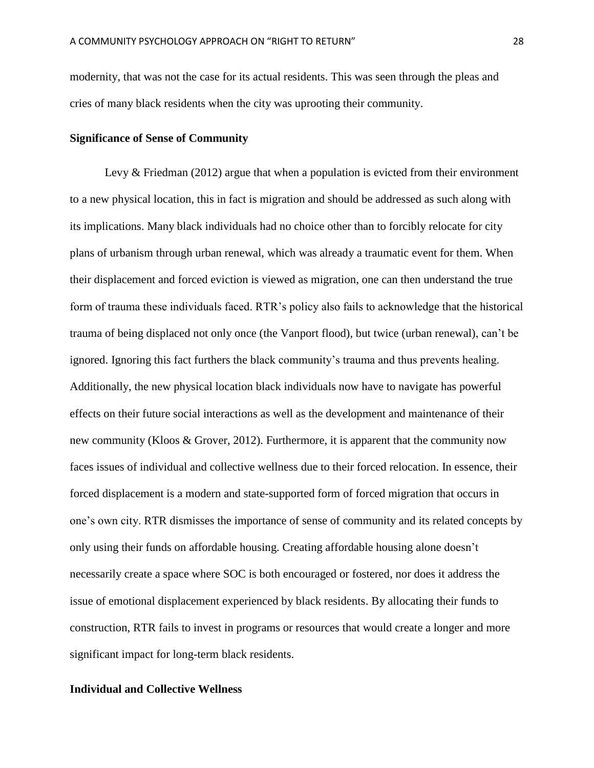modernity, that was not the case for its actual residents. This was seen through the pleas and cries of many black residents when the city was uprooting their community.

## **Significance of Sense of Community**

Levy & Friedman (2012) argue that when a population is evicted from their environment to a new physical location, this in fact is migration and should be addressed as such along with its implications. Many black individuals had no choice other than to forcibly relocate for city plans of urbanism through urban renewal, which was already a traumatic event for them. When their displacement and forced eviction is viewed as migration, one can then understand the true form of trauma these individuals faced. RTR's policy also fails to acknowledge that the historical trauma of being displaced not only once (the Vanport flood), but twice (urban renewal), can't be ignored. Ignoring this fact furthers the black community's trauma and thus prevents healing. Additionally, the new physical location black individuals now have to navigate has powerful effects on their future social interactions as well as the development and maintenance of their new community (Kloos & Grover, 2012). Furthermore, it is apparent that the community now faces issues of individual and collective wellness due to their forced relocation. In essence, their forced displacement is a modern and state-supported form of forced migration that occurs in one's own city. RTR dismisses the importance of sense of community and its related concepts by only using their funds on affordable housing. Creating affordable housing alone doesn't necessarily create a space where SOC is both encouraged or fostered, nor does it address the issue of emotional displacement experienced by black residents. By allocating their funds to construction, RTR fails to invest in programs or resources that would create a longer and more significant impact for long-term black residents.

#### **Individual and Collective Wellness**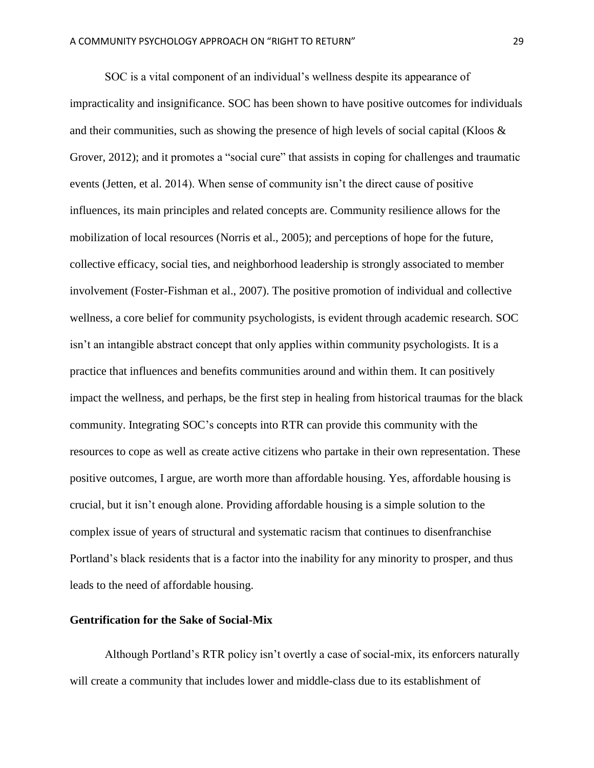SOC is a vital component of an individual's wellness despite its appearance of impracticality and insignificance. SOC has been shown to have positive outcomes for individuals and their communities, such as showing the presence of high levels of social capital (Kloos  $\&$ Grover, 2012); and it promotes a "social cure" that assists in coping for challenges and traumatic events (Jetten, et al. 2014). When sense of community isn't the direct cause of positive influences, its main principles and related concepts are. Community resilience allows for the mobilization of local resources (Norris et al., 2005); and perceptions of hope for the future, collective efficacy, social ties, and neighborhood leadership is strongly associated to member involvement (Foster-Fishman et al., 2007). The positive promotion of individual and collective wellness, a core belief for community psychologists, is evident through academic research. SOC isn't an intangible abstract concept that only applies within community psychologists. It is a practice that influences and benefits communities around and within them. It can positively impact the wellness, and perhaps, be the first step in healing from historical traumas for the black community. Integrating SOC's concepts into RTR can provide this community with the resources to cope as well as create active citizens who partake in their own representation. These positive outcomes, I argue, are worth more than affordable housing. Yes, affordable housing is crucial, but it isn't enough alone. Providing affordable housing is a simple solution to the complex issue of years of structural and systematic racism that continues to disenfranchise Portland's black residents that is a factor into the inability for any minority to prosper, and thus leads to the need of affordable housing.

## **Gentrification for the Sake of Social-Mix**

Although Portland's RTR policy isn't overtly a case of social-mix, its enforcers naturally will create a community that includes lower and middle-class due to its establishment of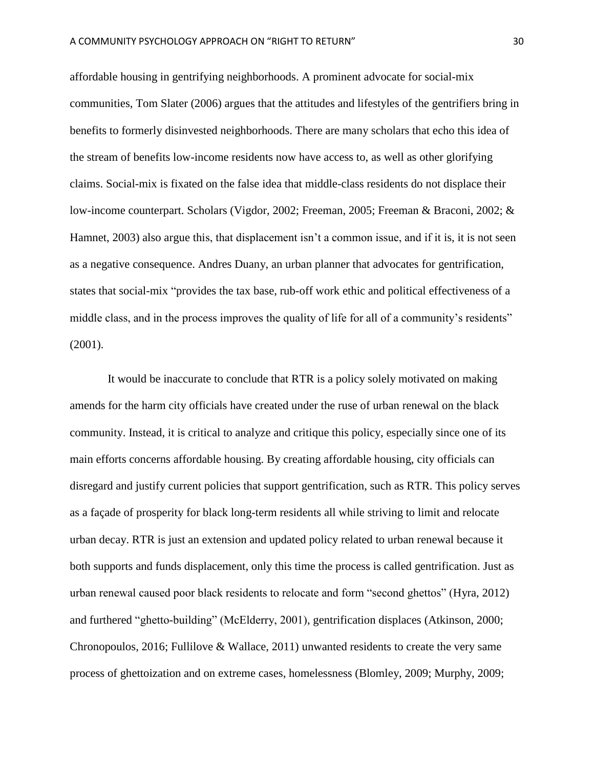affordable housing in gentrifying neighborhoods. A prominent advocate for social-mix communities, Tom Slater (2006) argues that the attitudes and lifestyles of the gentrifiers bring in benefits to formerly disinvested neighborhoods. There are many scholars that echo this idea of the stream of benefits low-income residents now have access to, as well as other glorifying claims. Social-mix is fixated on the false idea that middle-class residents do not displace their low-income counterpart. Scholars (Vigdor, 2002; Freeman, 2005; Freeman & Braconi, 2002; & Hamnet, 2003) also argue this, that displacement isn't a common issue, and if it is, it is not seen as a negative consequence. Andres Duany, an urban planner that advocates for gentrification, states that social-mix "provides the tax base, rub-off work ethic and political effectiveness of a middle class, and in the process improves the quality of life for all of a community's residents" (2001).

It would be inaccurate to conclude that RTR is a policy solely motivated on making amends for the harm city officials have created under the ruse of urban renewal on the black community. Instead, it is critical to analyze and critique this policy, especially since one of its main efforts concerns affordable housing. By creating affordable housing, city officials can disregard and justify current policies that support gentrification, such as RTR. This policy serves as a façade of prosperity for black long-term residents all while striving to limit and relocate urban decay. RTR is just an extension and updated policy related to urban renewal because it both supports and funds displacement, only this time the process is called gentrification. Just as urban renewal caused poor black residents to relocate and form "second ghettos" (Hyra, 2012) and furthered "ghetto-building" (McElderry, 2001), gentrification displaces (Atkinson, 2000; Chronopoulos, 2016; Fullilove & Wallace, 2011) unwanted residents to create the very same process of ghettoization and on extreme cases, homelessness (Blomley, 2009; Murphy, 2009;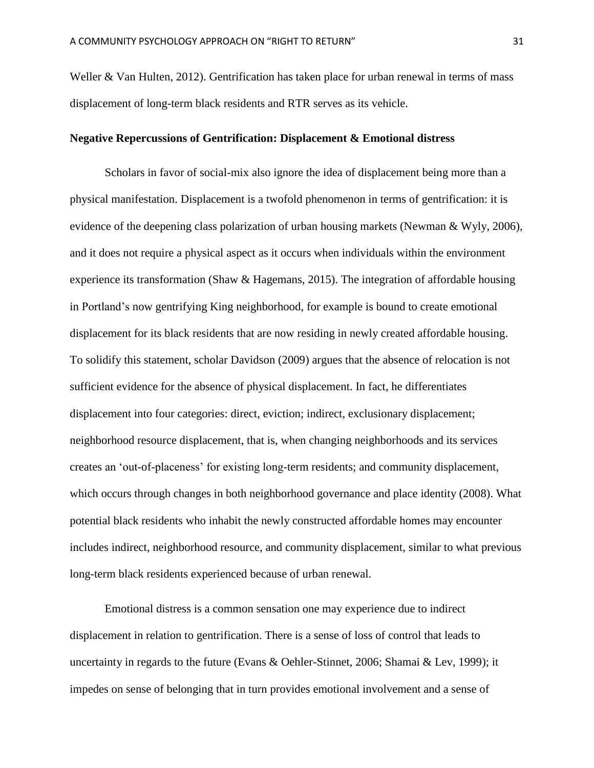Weller & Van Hulten, 2012). Gentrification has taken place for urban renewal in terms of mass displacement of long-term black residents and RTR serves as its vehicle.

## **Negative Repercussions of Gentrification: Displacement & Emotional distress**

Scholars in favor of social-mix also ignore the idea of displacement being more than a physical manifestation. Displacement is a twofold phenomenon in terms of gentrification: it is evidence of the deepening class polarization of urban housing markets (Newman & Wyly, 2006), and it does not require a physical aspect as it occurs when individuals within the environment experience its transformation (Shaw & Hagemans, 2015). The integration of affordable housing in Portland's now gentrifying King neighborhood, for example is bound to create emotional displacement for its black residents that are now residing in newly created affordable housing. To solidify this statement, scholar Davidson (2009) argues that the absence of relocation is not sufficient evidence for the absence of physical displacement. In fact, he differentiates displacement into four categories: direct, eviction; indirect, exclusionary displacement; neighborhood resource displacement, that is, when changing neighborhoods and its services creates an 'out-of-placeness' for existing long-term residents; and community displacement, which occurs through changes in both neighborhood governance and place identity (2008). What potential black residents who inhabit the newly constructed affordable homes may encounter includes indirect, neighborhood resource, and community displacement, similar to what previous long-term black residents experienced because of urban renewal.

Emotional distress is a common sensation one may experience due to indirect displacement in relation to gentrification. There is a sense of loss of control that leads to uncertainty in regards to the future (Evans & Oehler-Stinnet, 2006; Shamai & Lev, 1999); it impedes on sense of belonging that in turn provides emotional involvement and a sense of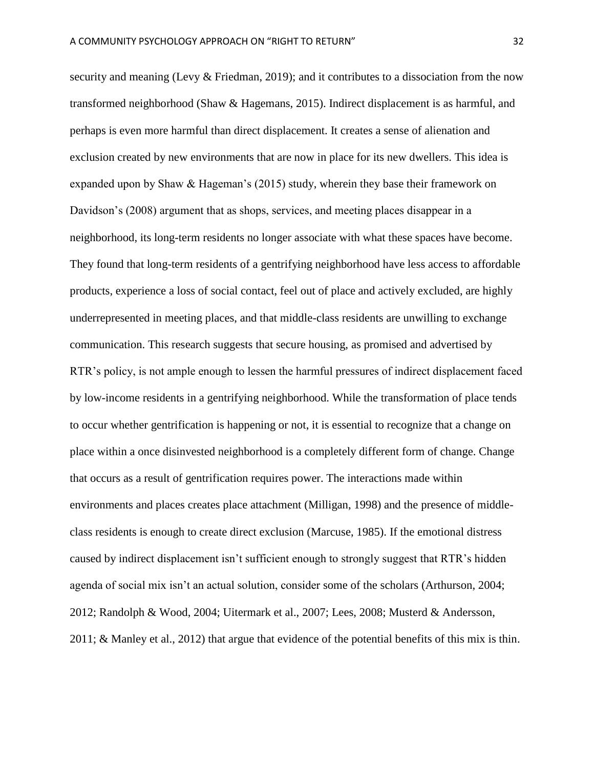security and meaning (Levy & Friedman, 2019); and it contributes to a dissociation from the now transformed neighborhood (Shaw & Hagemans, 2015). Indirect displacement is as harmful, and perhaps is even more harmful than direct displacement. It creates a sense of alienation and exclusion created by new environments that are now in place for its new dwellers. This idea is expanded upon by Shaw & Hageman's (2015) study, wherein they base their framework on Davidson's (2008) argument that as shops, services, and meeting places disappear in a neighborhood, its long-term residents no longer associate with what these spaces have become. They found that long-term residents of a gentrifying neighborhood have less access to affordable products, experience a loss of social contact, feel out of place and actively excluded, are highly underrepresented in meeting places, and that middle-class residents are unwilling to exchange communication. This research suggests that secure housing, as promised and advertised by RTR's policy, is not ample enough to lessen the harmful pressures of indirect displacement faced by low-income residents in a gentrifying neighborhood. While the transformation of place tends to occur whether gentrification is happening or not, it is essential to recognize that a change on place within a once disinvested neighborhood is a completely different form of change. Change that occurs as a result of gentrification requires power. The interactions made within environments and places creates place attachment (Milligan, 1998) and the presence of middleclass residents is enough to create direct exclusion (Marcuse, 1985). If the emotional distress caused by indirect displacement isn't sufficient enough to strongly suggest that RTR's hidden agenda of social mix isn't an actual solution, consider some of the scholars (Arthurson, 2004; 2012; Randolph & Wood, 2004; Uitermark et al., 2007; Lees, 2008; Musterd & Andersson, 2011; & Manley et al., 2012) that argue that evidence of the potential benefits of this mix is thin.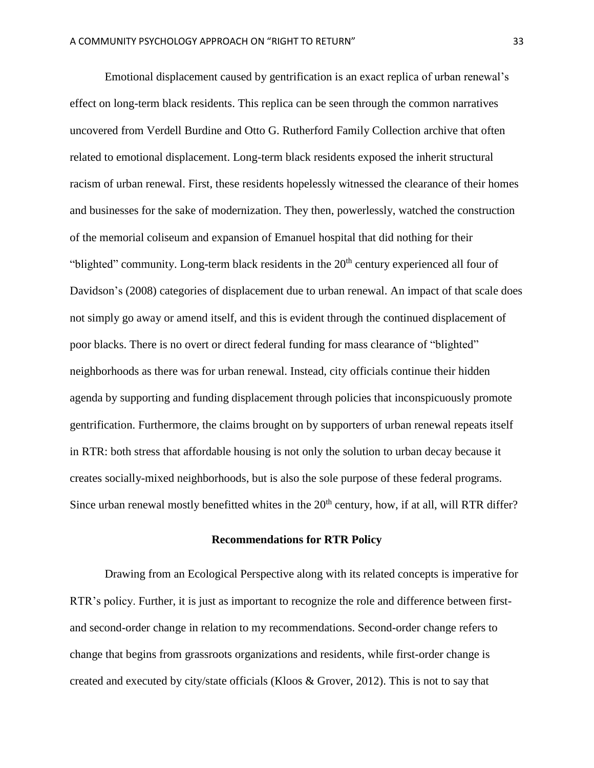Emotional displacement caused by gentrification is an exact replica of urban renewal's effect on long-term black residents. This replica can be seen through the common narratives uncovered from Verdell Burdine and Otto G. Rutherford Family Collection archive that often related to emotional displacement. Long-term black residents exposed the inherit structural racism of urban renewal. First, these residents hopelessly witnessed the clearance of their homes and businesses for the sake of modernization. They then, powerlessly, watched the construction of the memorial coliseum and expansion of Emanuel hospital that did nothing for their "blighted" community. Long-term black residents in the 20<sup>th</sup> century experienced all four of Davidson's (2008) categories of displacement due to urban renewal. An impact of that scale does not simply go away or amend itself, and this is evident through the continued displacement of poor blacks. There is no overt or direct federal funding for mass clearance of "blighted" neighborhoods as there was for urban renewal. Instead, city officials continue their hidden agenda by supporting and funding displacement through policies that inconspicuously promote gentrification. Furthermore, the claims brought on by supporters of urban renewal repeats itself in RTR: both stress that affordable housing is not only the solution to urban decay because it creates socially-mixed neighborhoods, but is also the sole purpose of these federal programs. Since urban renewal mostly benefitted whites in the  $20<sup>th</sup>$  century, how, if at all, will RTR differ?

### **Recommendations for RTR Policy**

Drawing from an Ecological Perspective along with its related concepts is imperative for RTR's policy. Further, it is just as important to recognize the role and difference between firstand second-order change in relation to my recommendations. Second-order change refers to change that begins from grassroots organizations and residents, while first-order change is created and executed by city/state officials (Kloos & Grover, 2012). This is not to say that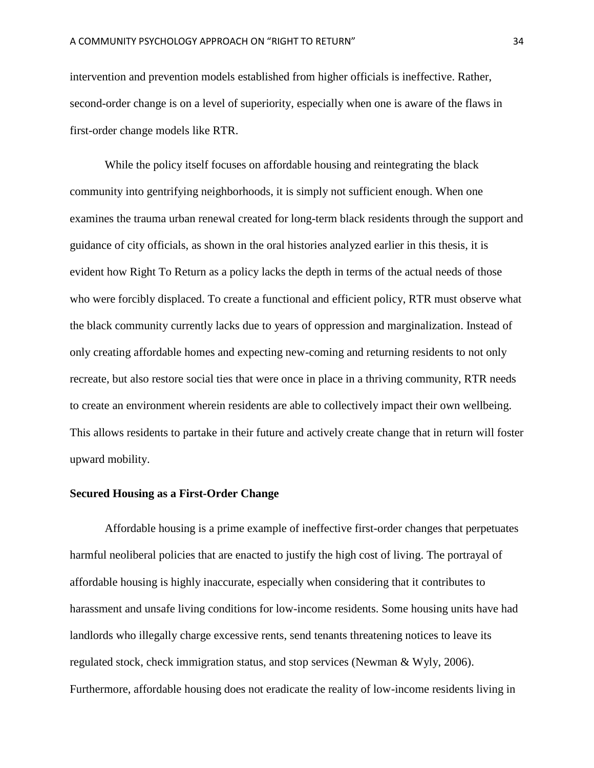intervention and prevention models established from higher officials is ineffective. Rather, second-order change is on a level of superiority, especially when one is aware of the flaws in first-order change models like RTR.

While the policy itself focuses on affordable housing and reintegrating the black community into gentrifying neighborhoods, it is simply not sufficient enough. When one examines the trauma urban renewal created for long-term black residents through the support and guidance of city officials, as shown in the oral histories analyzed earlier in this thesis, it is evident how Right To Return as a policy lacks the depth in terms of the actual needs of those who were forcibly displaced. To create a functional and efficient policy, RTR must observe what the black community currently lacks due to years of oppression and marginalization. Instead of only creating affordable homes and expecting new-coming and returning residents to not only recreate, but also restore social ties that were once in place in a thriving community, RTR needs to create an environment wherein residents are able to collectively impact their own wellbeing. This allows residents to partake in their future and actively create change that in return will foster upward mobility.

## **Secured Housing as a First-Order Change**

Affordable housing is a prime example of ineffective first-order changes that perpetuates harmful neoliberal policies that are enacted to justify the high cost of living. The portrayal of affordable housing is highly inaccurate, especially when considering that it contributes to harassment and unsafe living conditions for low-income residents. Some housing units have had landlords who illegally charge excessive rents, send tenants threatening notices to leave its regulated stock, check immigration status, and stop services (Newman & Wyly, 2006). Furthermore, affordable housing does not eradicate the reality of low-income residents living in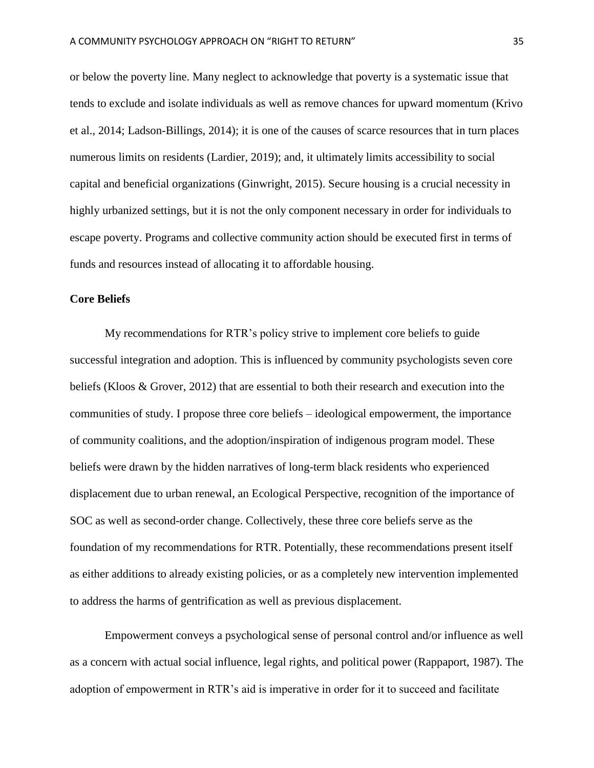or below the poverty line. Many neglect to acknowledge that poverty is a systematic issue that tends to exclude and isolate individuals as well as remove chances for upward momentum (Krivo et al., 2014; Ladson-Billings, 2014); it is one of the causes of scarce resources that in turn places numerous limits on residents (Lardier, 2019); and, it ultimately limits accessibility to social capital and beneficial organizations (Ginwright, 2015). Secure housing is a crucial necessity in highly urbanized settings, but it is not the only component necessary in order for individuals to escape poverty. Programs and collective community action should be executed first in terms of funds and resources instead of allocating it to affordable housing.

# **Core Beliefs**

My recommendations for RTR's policy strive to implement core beliefs to guide successful integration and adoption. This is influenced by community psychologists seven core beliefs (Kloos & Grover, 2012) that are essential to both their research and execution into the communities of study. I propose three core beliefs – ideological empowerment, the importance of community coalitions, and the adoption/inspiration of indigenous program model. These beliefs were drawn by the hidden narratives of long-term black residents who experienced displacement due to urban renewal, an Ecological Perspective, recognition of the importance of SOC as well as second-order change. Collectively, these three core beliefs serve as the foundation of my recommendations for RTR. Potentially, these recommendations present itself as either additions to already existing policies, or as a completely new intervention implemented to address the harms of gentrification as well as previous displacement.

Empowerment conveys a psychological sense of personal control and/or influence as well as a concern with actual social influence, legal rights, and political power (Rappaport, 1987). The adoption of empowerment in RTR's aid is imperative in order for it to succeed and facilitate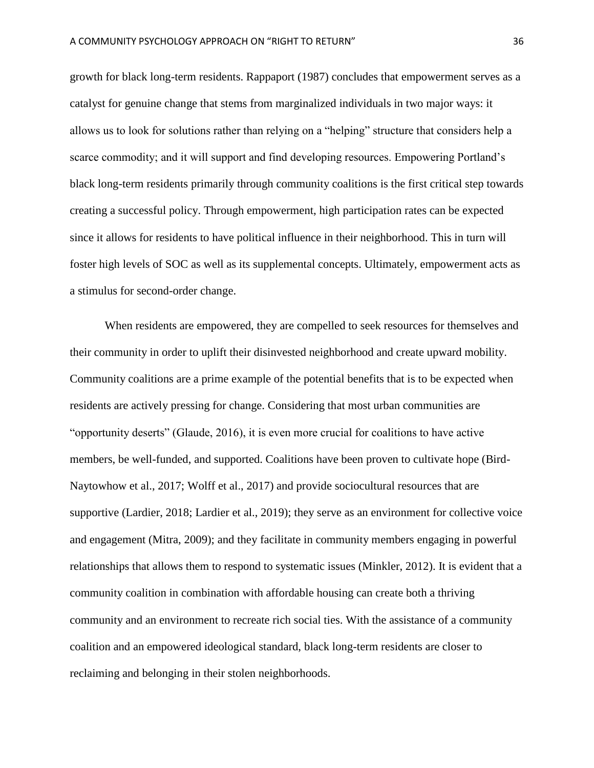growth for black long-term residents. Rappaport (1987) concludes that empowerment serves as a catalyst for genuine change that stems from marginalized individuals in two major ways: it allows us to look for solutions rather than relying on a "helping" structure that considers help a scarce commodity; and it will support and find developing resources. Empowering Portland's black long-term residents primarily through community coalitions is the first critical step towards creating a successful policy. Through empowerment, high participation rates can be expected since it allows for residents to have political influence in their neighborhood. This in turn will foster high levels of SOC as well as its supplemental concepts. Ultimately, empowerment acts as a stimulus for second-order change.

When residents are empowered, they are compelled to seek resources for themselves and their community in order to uplift their disinvested neighborhood and create upward mobility. Community coalitions are a prime example of the potential benefits that is to be expected when residents are actively pressing for change. Considering that most urban communities are "opportunity deserts" (Glaude, 2016), it is even more crucial for coalitions to have active members, be well-funded, and supported. Coalitions have been proven to cultivate hope (Bird-Naytowhow et al., 2017; Wolff et al., 2017) and provide sociocultural resources that are supportive (Lardier, 2018; Lardier et al., 2019); they serve as an environment for collective voice and engagement (Mitra, 2009); and they facilitate in community members engaging in powerful relationships that allows them to respond to systematic issues (Minkler, 2012). It is evident that a community coalition in combination with affordable housing can create both a thriving community and an environment to recreate rich social ties. With the assistance of a community coalition and an empowered ideological standard, black long-term residents are closer to reclaiming and belonging in their stolen neighborhoods.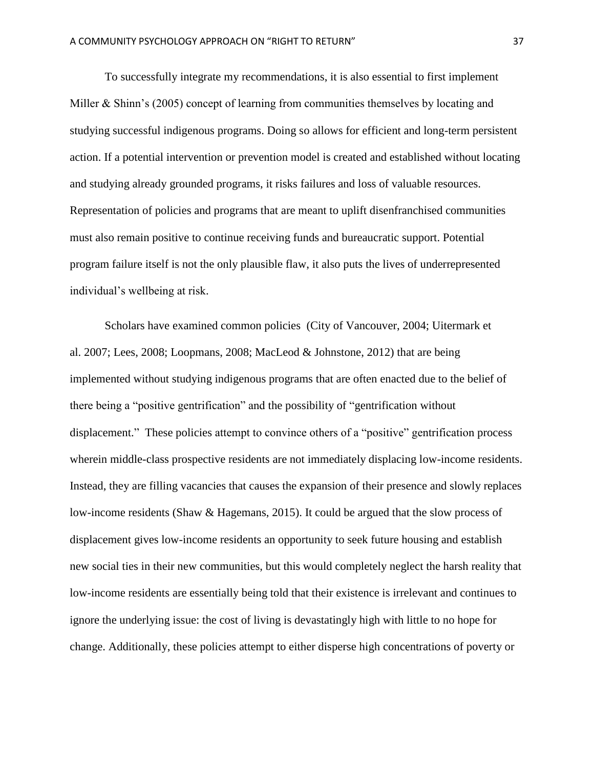To successfully integrate my recommendations, it is also essential to first implement Miller & Shinn's (2005) concept of learning from communities themselves by locating and studying successful indigenous programs. Doing so allows for efficient and long-term persistent action. If a potential intervention or prevention model is created and established without locating and studying already grounded programs, it risks failures and loss of valuable resources. Representation of policies and programs that are meant to uplift disenfranchised communities must also remain positive to continue receiving funds and bureaucratic support. Potential program failure itself is not the only plausible flaw, it also puts the lives of underrepresented individual's wellbeing at risk.

Scholars have examined common policies (City of Vancouver, 2004; Uitermark et al. 2007; Lees, 2008; Loopmans, 2008; MacLeod & Johnstone, 2012) that are being implemented without studying indigenous programs that are often enacted due to the belief of there being a "positive gentrification" and the possibility of "gentrification without displacement." These policies attempt to convince others of a "positive" gentrification process wherein middle-class prospective residents are not immediately displacing low-income residents. Instead, they are filling vacancies that causes the expansion of their presence and slowly replaces low-income residents (Shaw & Hagemans, 2015). It could be argued that the slow process of displacement gives low-income residents an opportunity to seek future housing and establish new social ties in their new communities, but this would completely neglect the harsh reality that low-income residents are essentially being told that their existence is irrelevant and continues to ignore the underlying issue: the cost of living is devastatingly high with little to no hope for change. Additionally, these policies attempt to either disperse high concentrations of poverty or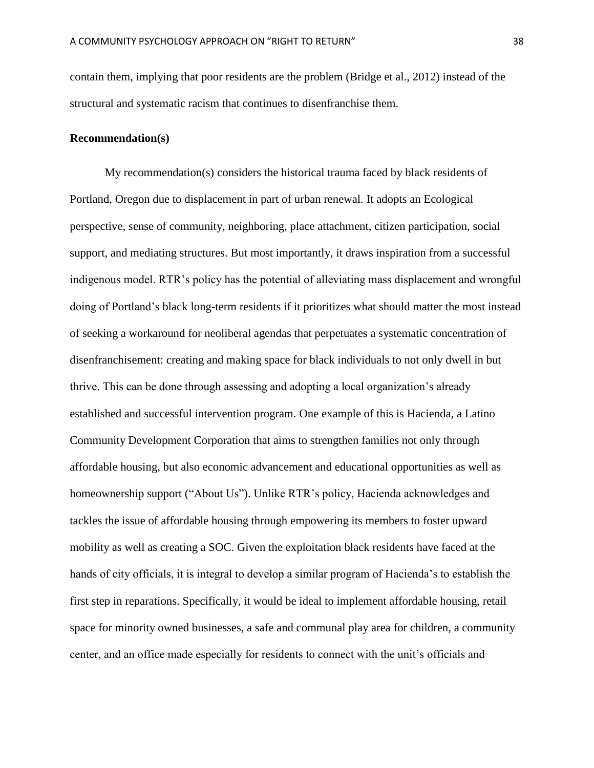contain them, implying that poor residents are the problem (Bridge et al., 2012) instead of the structural and systematic racism that continues to disenfranchise them.

## **Recommendation(s)**

My recommendation(s) considers the historical trauma faced by black residents of Portland, Oregon due to displacement in part of urban renewal. It adopts an Ecological perspective, sense of community, neighboring, place attachment, citizen participation, social support, and mediating structures. But most importantly, it draws inspiration from a successful indigenous model. RTR's policy has the potential of alleviating mass displacement and wrongful doing of Portland's black long-term residents if it prioritizes what should matter the most instead of seeking a workaround for neoliberal agendas that perpetuates a systematic concentration of disenfranchisement: creating and making space for black individuals to not only dwell in but thrive. This can be done through assessing and adopting a local organization's already established and successful intervention program. One example of this is Hacienda, a Latino Community Development Corporation that aims to strengthen families not only through affordable housing, but also economic advancement and educational opportunities as well as homeownership support ("About Us"). Unlike RTR's policy, Hacienda acknowledges and tackles the issue of affordable housing through empowering its members to foster upward mobility as well as creating a SOC. Given the exploitation black residents have faced at the hands of city officials, it is integral to develop a similar program of Hacienda's to establish the first step in reparations. Specifically, it would be ideal to implement affordable housing, retail space for minority owned businesses, a safe and communal play area for children, a community center, and an office made especially for residents to connect with the unit's officials and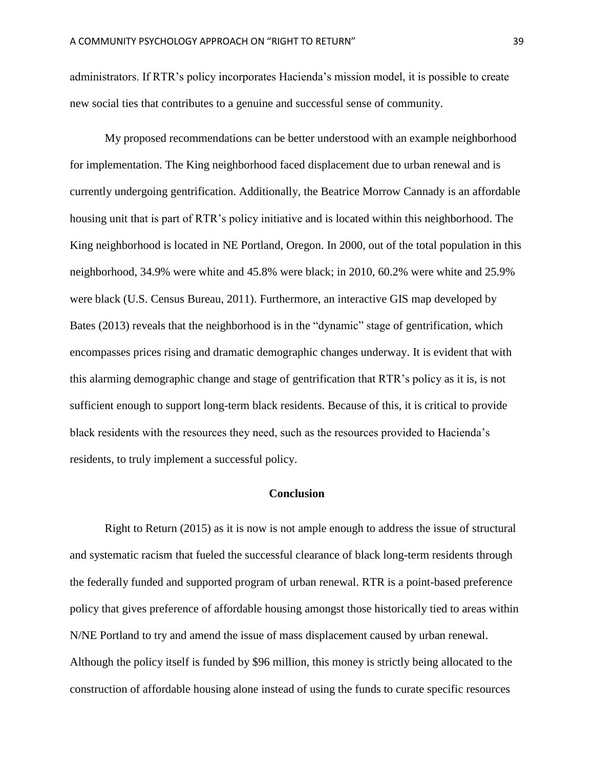administrators. If RTR's policy incorporates Hacienda's mission model, it is possible to create new social ties that contributes to a genuine and successful sense of community.

My proposed recommendations can be better understood with an example neighborhood for implementation. The King neighborhood faced displacement due to urban renewal and is currently undergoing gentrification. Additionally, the Beatrice Morrow Cannady is an affordable housing unit that is part of RTR's policy initiative and is located within this neighborhood. The King neighborhood is located in NE Portland, Oregon. In 2000, out of the total population in this neighborhood, 34.9% were white and 45.8% were black; in 2010, 60.2% were white and 25.9% were black (U.S. Census Bureau, 2011). Furthermore, an interactive GIS map developed by Bates (2013) reveals that the neighborhood is in the "dynamic" stage of gentrification, which encompasses prices rising and dramatic demographic changes underway. It is evident that with this alarming demographic change and stage of gentrification that RTR's policy as it is, is not sufficient enough to support long-term black residents. Because of this, it is critical to provide black residents with the resources they need, such as the resources provided to Hacienda's residents, to truly implement a successful policy.

#### **Conclusion**

Right to Return (2015) as it is now is not ample enough to address the issue of structural and systematic racism that fueled the successful clearance of black long-term residents through the federally funded and supported program of urban renewal. RTR is a point-based preference policy that gives preference of affordable housing amongst those historically tied to areas within N/NE Portland to try and amend the issue of mass displacement caused by urban renewal. Although the policy itself is funded by \$96 million, this money is strictly being allocated to the construction of affordable housing alone instead of using the funds to curate specific resources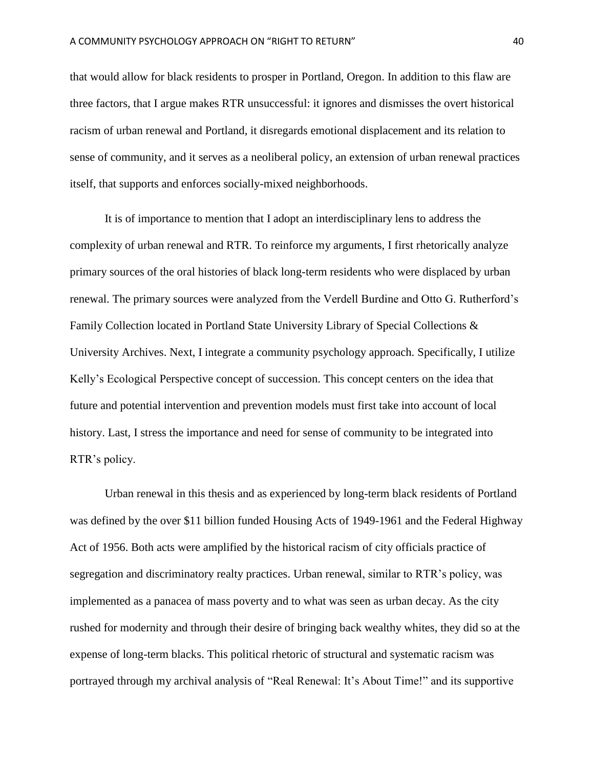that would allow for black residents to prosper in Portland, Oregon. In addition to this flaw are three factors, that I argue makes RTR unsuccessful: it ignores and dismisses the overt historical racism of urban renewal and Portland, it disregards emotional displacement and its relation to sense of community, and it serves as a neoliberal policy, an extension of urban renewal practices itself, that supports and enforces socially-mixed neighborhoods.

It is of importance to mention that I adopt an interdisciplinary lens to address the complexity of urban renewal and RTR. To reinforce my arguments, I first rhetorically analyze primary sources of the oral histories of black long-term residents who were displaced by urban renewal. The primary sources were analyzed from the Verdell Burdine and Otto G. Rutherford's Family Collection located in Portland State University Library of Special Collections & University Archives. Next, I integrate a community psychology approach. Specifically, I utilize Kelly's Ecological Perspective concept of succession. This concept centers on the idea that future and potential intervention and prevention models must first take into account of local history. Last, I stress the importance and need for sense of community to be integrated into RTR's policy.

Urban renewal in this thesis and as experienced by long-term black residents of Portland was defined by the over \$11 billion funded Housing Acts of 1949-1961 and the Federal Highway Act of 1956. Both acts were amplified by the historical racism of city officials practice of segregation and discriminatory realty practices. Urban renewal, similar to RTR's policy, was implemented as a panacea of mass poverty and to what was seen as urban decay. As the city rushed for modernity and through their desire of bringing back wealthy whites, they did so at the expense of long-term blacks. This political rhetoric of structural and systematic racism was portrayed through my archival analysis of "Real Renewal: It's About Time!" and its supportive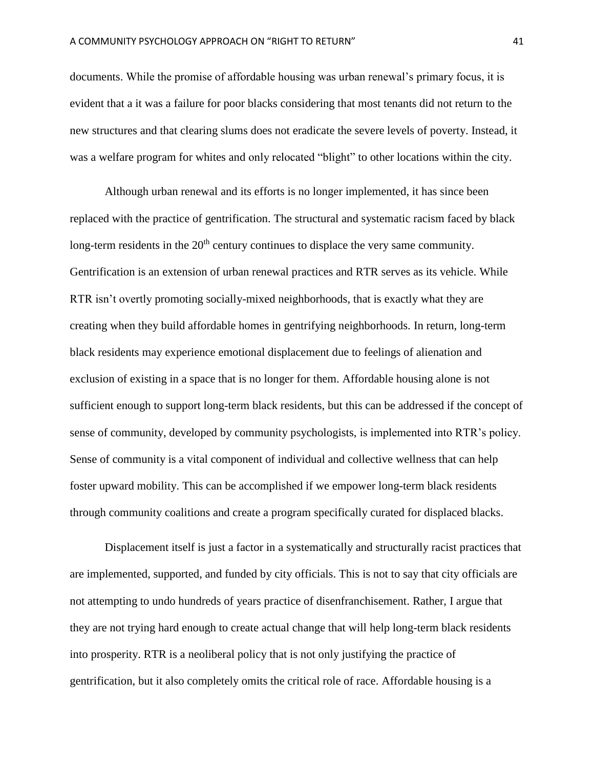documents. While the promise of affordable housing was urban renewal's primary focus, it is evident that a it was a failure for poor blacks considering that most tenants did not return to the new structures and that clearing slums does not eradicate the severe levels of poverty. Instead, it was a welfare program for whites and only relocated "blight" to other locations within the city.

Although urban renewal and its efforts is no longer implemented, it has since been replaced with the practice of gentrification. The structural and systematic racism faced by black long-term residents in the  $20<sup>th</sup>$  century continues to displace the very same community. Gentrification is an extension of urban renewal practices and RTR serves as its vehicle. While RTR isn't overtly promoting socially-mixed neighborhoods, that is exactly what they are creating when they build affordable homes in gentrifying neighborhoods. In return, long-term black residents may experience emotional displacement due to feelings of alienation and exclusion of existing in a space that is no longer for them. Affordable housing alone is not sufficient enough to support long-term black residents, but this can be addressed if the concept of sense of community, developed by community psychologists, is implemented into RTR's policy. Sense of community is a vital component of individual and collective wellness that can help foster upward mobility. This can be accomplished if we empower long-term black residents through community coalitions and create a program specifically curated for displaced blacks.

Displacement itself is just a factor in a systematically and structurally racist practices that are implemented, supported, and funded by city officials. This is not to say that city officials are not attempting to undo hundreds of years practice of disenfranchisement. Rather, I argue that they are not trying hard enough to create actual change that will help long-term black residents into prosperity. RTR is a neoliberal policy that is not only justifying the practice of gentrification, but it also completely omits the critical role of race. Affordable housing is a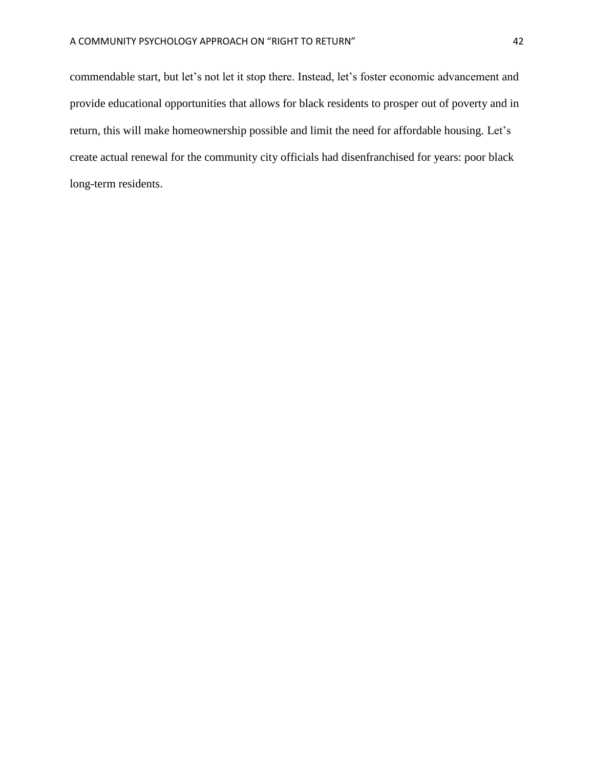commendable start, but let's not let it stop there. Instead, let's foster economic advancement and provide educational opportunities that allows for black residents to prosper out of poverty and in return, this will make homeownership possible and limit the need for affordable housing. Let's create actual renewal for the community city officials had disenfranchised for years: poor black long-term residents.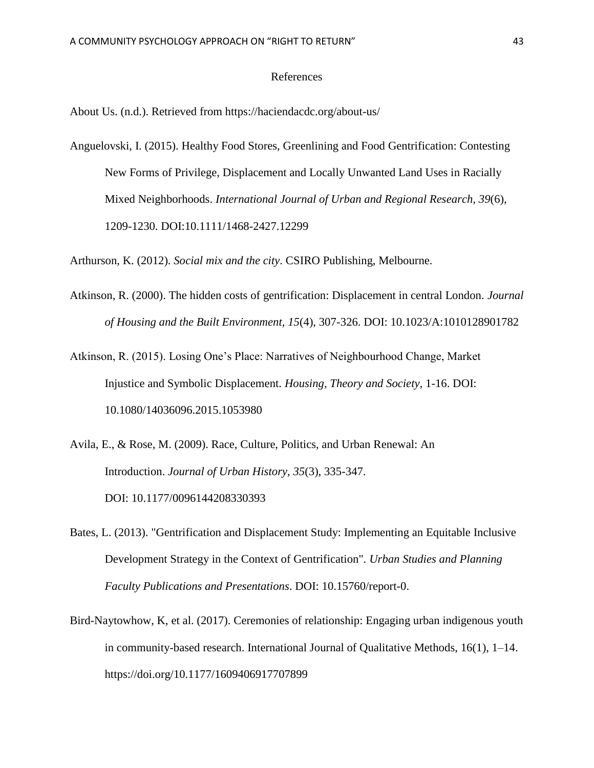## References

About Us. (n.d.). Retrieved from https://haciendacdc.org/about-us/

Anguelovski, I. (2015). Healthy Food Stores, Greenlining and Food Gentrification: Contesting New Forms of Privilege, Displacement and Locally Unwanted Land Uses in Racially Mixed Neighborhoods. *International Journal of Urban and Regional Research, 39*(6), 1209-1230. DOI:10.1111/1468-2427.12299

Arthurson, K. (2012). *Social mix and the city*. CSIRO Publishing, Melbourne.

- Atkinson, R. (2000). The hidden costs of gentrification: Displacement in central London. *Journal of Housing and the Built Environment, 15*(4), 307-326. DOI: 10.1023/A:1010128901782
- Atkinson, R. (2015). Losing One's Place: Narratives of Neighbourhood Change, Market Injustice and Symbolic Displacement. *Housing, Theory and Society,* 1-16. DOI: 10.1080/14036096.2015.1053980
- Avila, E., & Rose, M. (2009). Race, Culture, Politics, and Urban Renewal: An Introduction. *Journal of Urban History, 35*(3), 335-347. DOI: 10.1177/0096144208330393
- Bates, L. (2013). "Gentrification and Displacement Study: Implementing an Equitable Inclusive Development Strategy in the Context of Gentrification". *Urban Studies and Planning Faculty Publications and Presentations*. DOI: 10.15760/report-0.
- Bird-Naytowhow, K, et al. (2017). Ceremonies of relationship: Engaging urban indigenous youth in community-based research. International Journal of Qualitative Methods, 16(1), 1–14. https://doi.org/10.1177/1609406917707899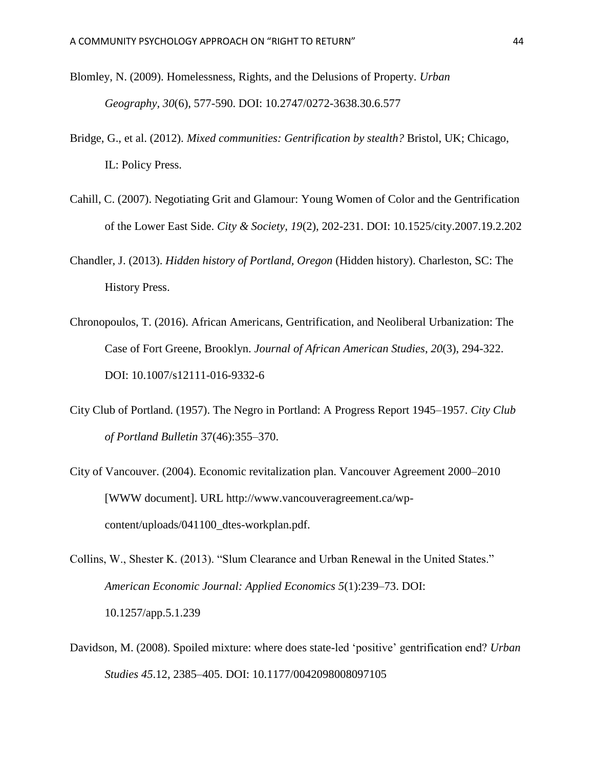- Blomley, N. (2009). Homelessness, Rights, and the Delusions of Property. *Urban Geography, 30*(6), 577-590. DOI: 10.2747/0272-3638.30.6.577
- Bridge, G., et al. (2012). *Mixed communities: Gentrification by stealth?* Bristol, UK; Chicago, IL: Policy Press.
- Cahill, C. (2007). Negotiating Grit and Glamour: Young Women of Color and the Gentrification of the Lower East Side. *City & Society, 19*(2), 202-231. DOI: 10.1525/city.2007.19.2.202
- Chandler, J. (2013). *Hidden history of Portland, Oregon* (Hidden history). Charleston, SC: The History Press.
- Chronopoulos, T. (2016). African Americans, Gentrification, and Neoliberal Urbanization: The Case of Fort Greene, Brooklyn. *Journal of African American Studies*, *20*(3), 294-322. DOI: 10.1007/s12111-016-9332-6
- City Club of Portland. (1957). The Negro in Portland: A Progress Report 1945–1957. *City Club of Portland Bulletin* 37(46):355–370.
- City of Vancouver. (2004). Economic revitalization plan. Vancouver Agreement 2000–2010 [WWW document]. URL http://www.vancouveragreement.ca/wpcontent/uploads/041100\_dtes-workplan.pdf.
- Collins, W., Shester K. (2013). "Slum Clearance and Urban Renewal in the United States." *American Economic Journal: Applied Economics 5*(1):239–73. DOI: 10.1257/app.5.1.239
- Davidson, M. (2008). Spoiled mixture: where does state-led 'positive' gentrification end? *Urban Studies 45*.12, 2385–405. DOI: 10.1177/0042098008097105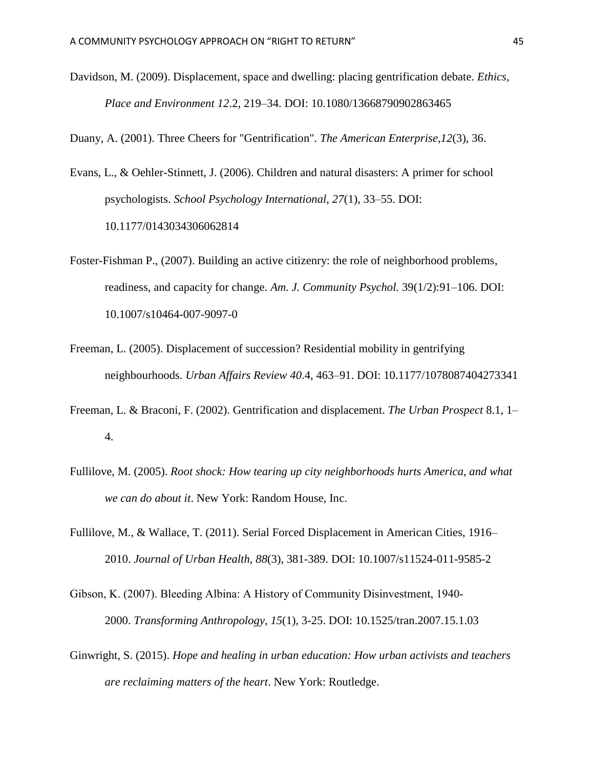Davidson, M. (2009). Displacement, space and dwelling: placing gentrification debate. *Ethics, Place and Environment 12*.2, 219–34. DOI: 10.1080/13668790902863465

Duany, A. (2001). Three Cheers for "Gentrification". *The American Enterprise,12*(3), 36.

- Evans, L., & Oehler-Stinnett, J. (2006). Children and natural disasters: A primer for school psychologists. *School Psychology International, 27*(1), 33–55. DOI: 10.1177/0143034306062814
- Foster-Fishman P., (2007). Building an active citizenry: the role of neighborhood problems, readiness, and capacity for change. *Am. J. Community Psychol.* 39(1/2):91–106. DOI: 10.1007/s10464-007-9097-0
- Freeman, L. (2005). Displacement of succession? Residential mobility in gentrifying neighbourhoods. *Urban Affairs Review 40*.4, 463–91. DOI: 10.1177/1078087404273341
- Freeman, L. & Braconi, F. (2002). Gentrification and displacement. *The Urban Prospect* 8.1, 1– 4.
- Fullilove, M. (2005). *Root shock: How tearing up city neighborhoods hurts America, and what we can do about it*. New York: Random House, Inc.
- Fullilove, M., & Wallace, T. (2011). Serial Forced Displacement in American Cities, 1916– 2010. *Journal of Urban Health, 88*(3), 381-389. DOI: 10.1007/s11524-011-9585-2
- Gibson, K. (2007). Bleeding Albina: A History of Community Disinvestment, 1940‐ 2000. *Transforming Anthropology, 15*(1), 3-25. DOI: 10.1525/tran.2007.15.1.03
- Ginwright, S. (2015). *Hope and healing in urban education: How urban activists and teachers are reclaiming matters of the heart*. New York: Routledge.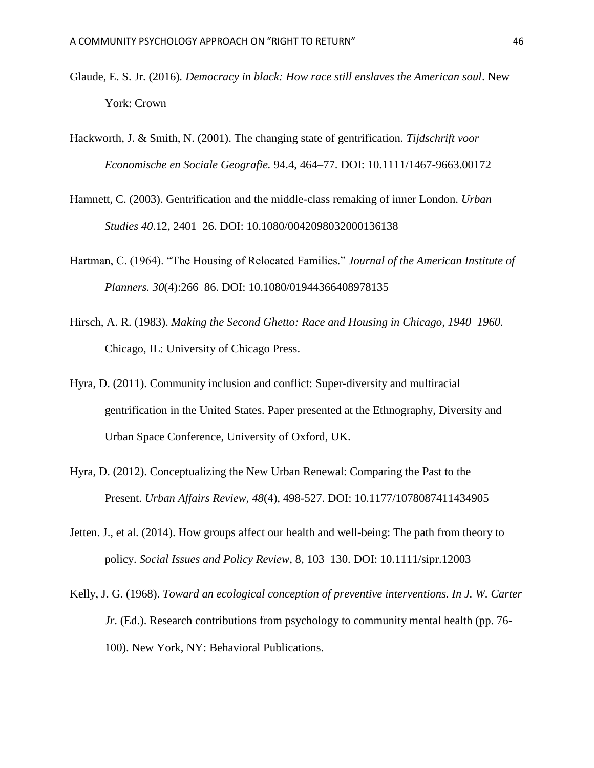- Glaude, E. S. Jr. (2016)*. Democracy in black: How race still enslaves the American soul*. New York: Crown
- Hackworth, J. & Smith, N. (2001). The changing state of gentrification. *Tijdschrift voor Economische en Sociale Geografie.* 94.4, 464–77. DOI: 10.1111/1467-9663.00172
- Hamnett, C. (2003). Gentrification and the middle-class remaking of inner London. *Urban Studies 40*.12, 2401–26. DOI: 10.1080/0042098032000136138
- Hartman, C. (1964). "The Housing of Relocated Families." *Journal of the American Institute of Planners. 30*(4):266–86. DOI: 10.1080/01944366408978135
- Hirsch, A. R. (1983). *Making the Second Ghetto: Race and Housing in Chicago, 1940–1960.* Chicago, IL: University of Chicago Press.
- Hyra, D. (2011). Community inclusion and conflict: Super-diversity and multiracial gentrification in the United States. Paper presented at the Ethnography, Diversity and Urban Space Conference, University of Oxford, UK.
- Hyra, D. (2012). Conceptualizing the New Urban Renewal: Comparing the Past to the Present. *Urban Affairs Review, 48*(4), 498-527. DOI: 10.1177/1078087411434905
- Jetten. J., et al. (2014). How groups affect our health and well-being: The path from theory to policy. *Social Issues and Policy Review*, 8, 103–130. DOI: 10.1111/sipr.12003
- Kelly, J. G. (1968). *Toward an ecological conception of preventive interventions. In J. W. Carter Jr*. (Ed.). Research contributions from psychology to community mental health (pp. 76- 100). New York, NY: Behavioral Publications.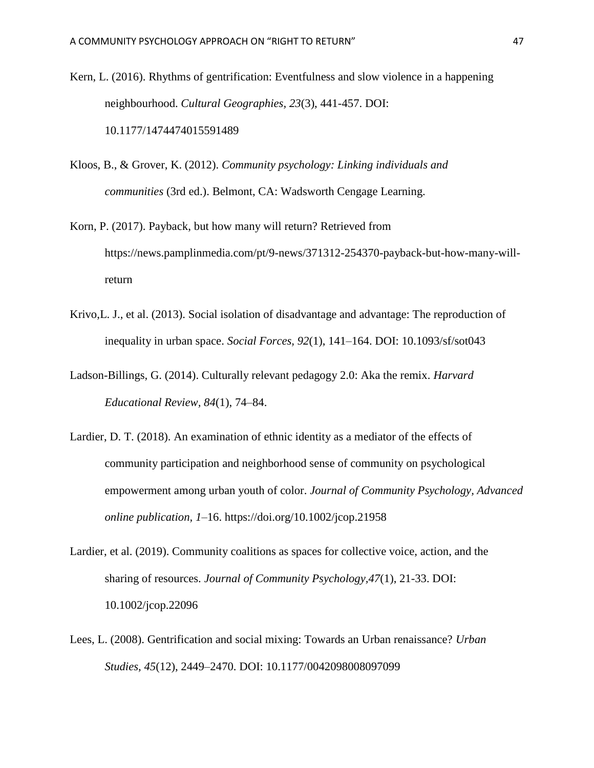Kern, L. (2016). Rhythms of gentrification: Eventfulness and slow violence in a happening neighbourhood. *Cultural Geographies, 23*(3), 441-457. DOI: 10.1177/1474474015591489

- Kloos, B., & Grover, K. (2012). *Community psychology: Linking individuals and communities* (3rd ed.). Belmont, CA: Wadsworth Cengage Learning.
- Korn, P. (2017). Payback, but how many will return? Retrieved from https://news.pamplinmedia.com/pt/9-news/371312-254370-payback-but-how-many-willreturn
- Krivo,L. J., et al. (2013). Social isolation of disadvantage and advantage: The reproduction of inequality in urban space. *Social Forces, 92*(1), 141–164. DOI: 10.1093/sf/sot043
- Ladson-Billings, G. (2014). Culturally relevant pedagogy 2.0: Aka the remix. *Harvard Educational Review, 84*(1), 74–84.
- Lardier, D. T. (2018). An examination of ethnic identity as a mediator of the effects of community participation and neighborhood sense of community on psychological empowerment among urban youth of color. *Journal of Community Psychology, Advanced online publication, 1*–16. https://doi.org/10.1002/jcop.21958
- Lardier, et al. (2019). Community coalitions as spaces for collective voice, action, and the sharing of resources. *Journal of Community Psychology,47*(1), 21-33. DOI: 10.1002/jcop.22096
- Lees, L. (2008). Gentrification and social mixing: Towards an Urban renaissance? *Urban Studies, 45*(12), 2449–2470. DOI: 10.1177/0042098008097099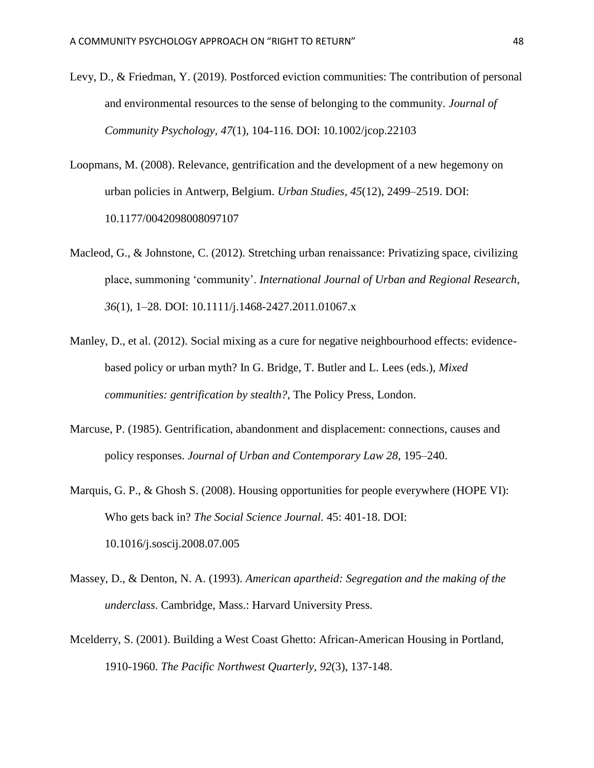- Levy, D., & Friedman, Y. (2019). Postforced eviction communities: The contribution of personal and environmental resources to the sense of belonging to the community. *Journal of Community Psychology, 47*(1), 104-116. DOI: 10.1002/jcop.22103
- Loopmans, M. (2008). Relevance, gentrification and the development of a new hegemony on urban policies in Antwerp, Belgium. *Urban Studies*, *45*(12), 2499–2519. DOI: 10.1177/0042098008097107
- Macleod, G., & Johnstone, C. (2012). Stretching urban renaissance: Privatizing space, civilizing place, summoning 'community'. *International Journal of Urban and Regional Research*, *36*(1), 1–28. DOI: 10.1111/j.1468-2427.2011.01067.x
- Manley, D., et al. (2012). Social mixing as a cure for negative neighbourhood effects: evidencebased policy or urban myth? In G. Bridge, T. Butler and L. Lees (eds.), *Mixed communities: gentrification by stealth?*, The Policy Press, London.
- Marcuse, P. (1985). Gentrification, abandonment and displacement: connections, causes and policy responses. *Journal of Urban and Contemporary Law 28*, 195–240.
- Marquis, G. P., & Ghosh S. (2008). Housing opportunities for people everywhere (HOPE VI): Who gets back in? *The Social Science Journal.* 45: 401-18. DOI: 10.1016/j.soscij.2008.07.005
- Massey, D., & Denton, N. A. (1993). *American apartheid: Segregation and the making of the underclass*. Cambridge, Mass.: Harvard University Press.
- Mcelderry, S. (2001). Building a West Coast Ghetto: African-American Housing in Portland, 1910-1960. *The Pacific Northwest Quarterly, 92*(3), 137-148.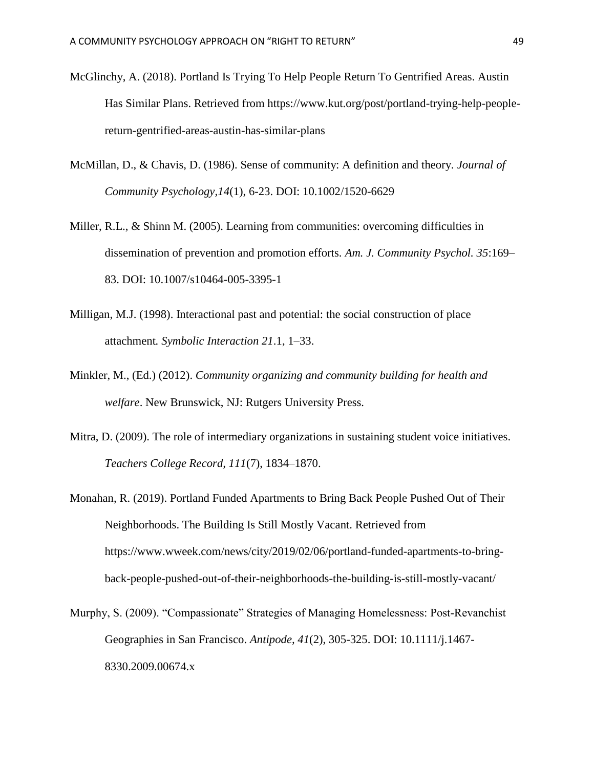- McGlinchy, A. (2018). Portland Is Trying To Help People Return To Gentrified Areas. Austin Has Similar Plans. Retrieved from https://www.kut.org/post/portland-trying-help-peoplereturn-gentrified-areas-austin-has-similar-plans
- McMillan, D., & Chavis, D. (1986). Sense of community: A definition and theory. *Journal of Community Psychology,14*(1), 6-23. DOI: 10.1002/1520-6629
- Miller, R.L., & Shinn M. (2005). Learning from communities: overcoming difficulties in dissemination of prevention and promotion efforts. *Am. J. Community Psychol. 35*:169– 83. DOI: 10.1007/s10464-005-3395-1
- Milligan, M.J. (1998). Interactional past and potential: the social construction of place attachment*. Symbolic Interaction 21*.1, 1–33.
- Minkler, M., (Ed.) (2012). *Community organizing and community building for health and welfare*. New Brunswick, NJ: Rutgers University Press.
- Mitra, D. (2009). The role of intermediary organizations in sustaining student voice initiatives. *Teachers College Record, 111*(7), 1834–1870.
- Monahan, R. (2019). Portland Funded Apartments to Bring Back People Pushed Out of Their Neighborhoods. The Building Is Still Mostly Vacant. Retrieved from https://www.wweek.com/news/city/2019/02/06/portland-funded-apartments-to-bringback-people-pushed-out-of-their-neighborhoods-the-building-is-still-mostly-vacant/
- Murphy, S. (2009). "Compassionate" Strategies of Managing Homelessness: Post‐Revanchist Geographies in San Francisco. *Antipode, 41*(2), 305-325. DOI: 10.1111/j.1467- 8330.2009.00674.x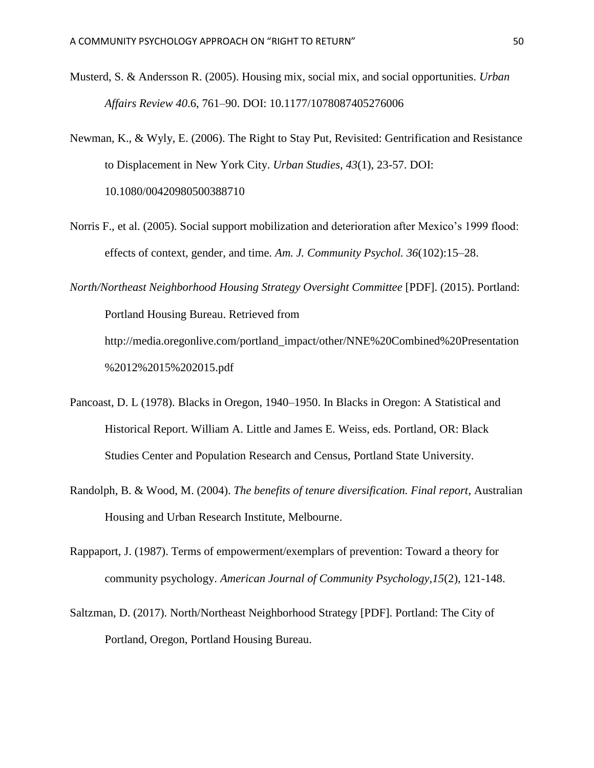- Musterd, S. & Andersson R. (2005). Housing mix, social mix, and social opportunities. *Urban Affairs Review 40*.6, 761–90. DOI: 10.1177/1078087405276006
- Newman, K., & Wyly, E. (2006). The Right to Stay Put, Revisited: Gentrification and Resistance to Displacement in New York City. *Urban Studies, 43*(1), 23-57. DOI: 10.1080/00420980500388710
- Norris F., et al. (2005). Social support mobilization and deterioration after Mexico's 1999 flood: effects of context, gender, and time*. Am. J. Community Psychol. 36*(102):15–28.

*North/Northeast Neighborhood Housing Strategy Oversight Committee* [PDF]. (2015). Portland: Portland Housing Bureau. Retrieved from http://media.oregonlive.com/portland\_impact/other/NNE%20Combined%20Presentation %2012%2015%202015.pdf

- Pancoast, D. L (1978). Blacks in Oregon, 1940–1950. In Blacks in Oregon: A Statistical and Historical Report. William A. Little and James E. Weiss, eds. Portland, OR: Black Studies Center and Population Research and Census, Portland State University.
- Randolph, B. & Wood, M. (2004). *The benefits of tenure diversification. Final report*, Australian Housing and Urban Research Institute, Melbourne.
- Rappaport, J. (1987). Terms of empowerment/exemplars of prevention: Toward a theory for community psychology. *American Journal of Community Psychology,15*(2), 121-148.
- Saltzman, D. (2017). North/Northeast Neighborhood Strategy [PDF]. Portland: The City of Portland, Oregon, Portland Housing Bureau.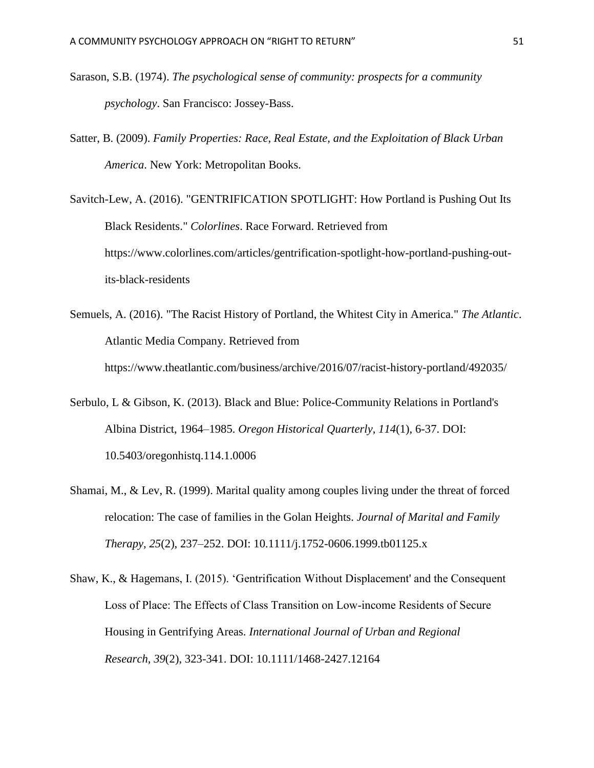- Sarason, S.B. (1974). *The psychological sense of community: prospects for a community psychology*. San Francisco: Jossey-Bass.
- Satter, B. (2009). *Family Properties: Race, Real Estate, and the Exploitation of Black Urban America*. New York: Metropolitan Books.
- Savitch-Lew, A. (2016). "GENTRIFICATION SPOTLIGHT: How Portland is Pushing Out Its Black Residents." *Colorlines*. Race Forward. Retrieved from https://www.colorlines.com/articles/gentrification-spotlight-how-portland-pushing-outits-black-residents
- Semuels, A. (2016). "The Racist History of Portland, the Whitest City in America." *The Atlantic*. Atlantic Media Company. Retrieved from https://www.theatlantic.com/business/archive/2016/07/racist-history-portland/492035/
- Serbulo, L & Gibson, K. (2013). Black and Blue: Police-Community Relations in Portland's Albina District, 1964–1985. *Oregon Historical Quarterly, 114*(1), 6-37. DOI: 10.5403/oregonhistq.114.1.0006
- Shamai, M., & Lev, R. (1999). Marital quality among couples living under the threat of forced relocation: The case of families in the Golan Heights. *Journal of Marital and Family Therapy, 25*(2), 237–252. DOI: 10.1111/j.1752-0606.1999.tb01125.x
- Shaw, K., & Hagemans, I. (2015). 'Gentrification Without Displacement' and the Consequent Loss of Place: The Effects of Class Transition on Low‐income Residents of Secure Housing in Gentrifying Areas. *International Journal of Urban and Regional Research, 39*(2), 323-341. DOI: 10.1111/1468-2427.12164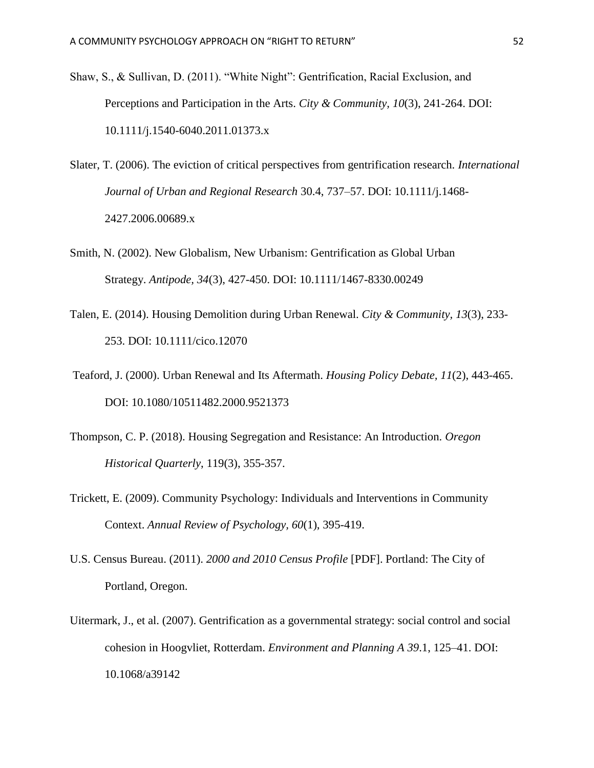- Shaw, S., & Sullivan, D. (2011). "White Night": Gentrification, Racial Exclusion, and Perceptions and Participation in the Arts. *City & Community, 10*(3), 241-264. DOI: 10.1111/j.1540-6040.2011.01373.x
- Slater, T. (2006). The eviction of critical perspectives from gentrification research. *International Journal of Urban and Regional Research* 30.4, 737–57. DOI: 10.1111/j.1468- 2427.2006.00689.x
- Smith, N. (2002). New Globalism, New Urbanism: Gentrification as Global Urban Strategy. *Antipode, 34*(3), 427-450. DOI: 10.1111/1467-8330.00249
- Talen, E. (2014). Housing Demolition during Urban Renewal. *City & Community, 13*(3), 233- 253. DOI: 10.1111/cico.12070
- Teaford, J. (2000). Urban Renewal and Its Aftermath. *Housing Policy Debate, 11*(2), 443-465. DOI: 10.1080/10511482.2000.9521373
- Thompson, C. P. (2018). Housing Segregation and Resistance: An Introduction*. Oregon Historical Quarterly*, 119(3), 355-357.
- Trickett, E. (2009). Community Psychology: Individuals and Interventions in Community Context. *Annual Review of Psychology, 60*(1), 395-419.
- U.S. Census Bureau. (2011). *2000 and 2010 Census Profile* [PDF]. Portland: The City of Portland, Oregon.
- Uitermark, J., et al. (2007). Gentrification as a governmental strategy: social control and social cohesion in Hoogvliet, Rotterdam. *Environment and Planning A 39*.1, 125–41. DOI: 10.1068/a39142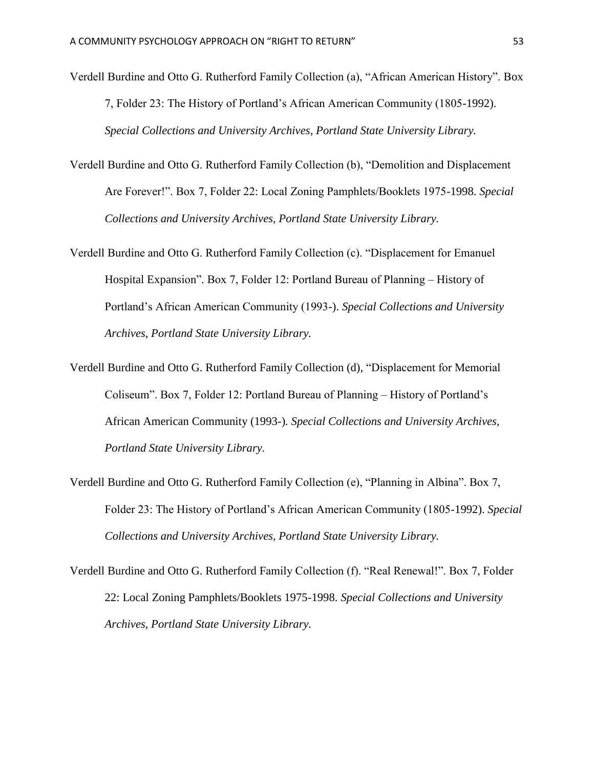- Verdell Burdine and Otto G. Rutherford Family Collection (a), "African American History". Box 7, Folder 23: The History of Portland's African American Community (1805-1992). *Special Collections and University Archives, Portland State University Library.*
- Verdell Burdine and Otto G. Rutherford Family Collection (b), "Demolition and Displacement Are Forever!". Box 7, Folder 22: Local Zoning Pamphlets/Booklets 1975-1998. *Special Collections and University Archives, Portland State University Library.*
- Verdell Burdine and Otto G. Rutherford Family Collection (c). "Displacement for Emanuel Hospital Expansion". Box 7, Folder 12: Portland Bureau of Planning – History of Portland's African American Community (1993-). *Special Collections and University Archives, Portland State University Library.*
- Verdell Burdine and Otto G. Rutherford Family Collection (d), "Displacement for Memorial Coliseum". Box 7, Folder 12: Portland Bureau of Planning – History of Portland's African American Community (1993-)*. Special Collections and University Archives, Portland State University Library.*
- Verdell Burdine and Otto G. Rutherford Family Collection (e), "Planning in Albina". Box 7, Folder 23: The History of Portland's African American Community (1805-1992). *Special Collections and University Archives, Portland State University Library.*
- Verdell Burdine and Otto G. Rutherford Family Collection (f). "Real Renewal!". Box 7, Folder 22: Local Zoning Pamphlets/Booklets 1975-1998. *Special Collections and University Archives, Portland State University Library.*